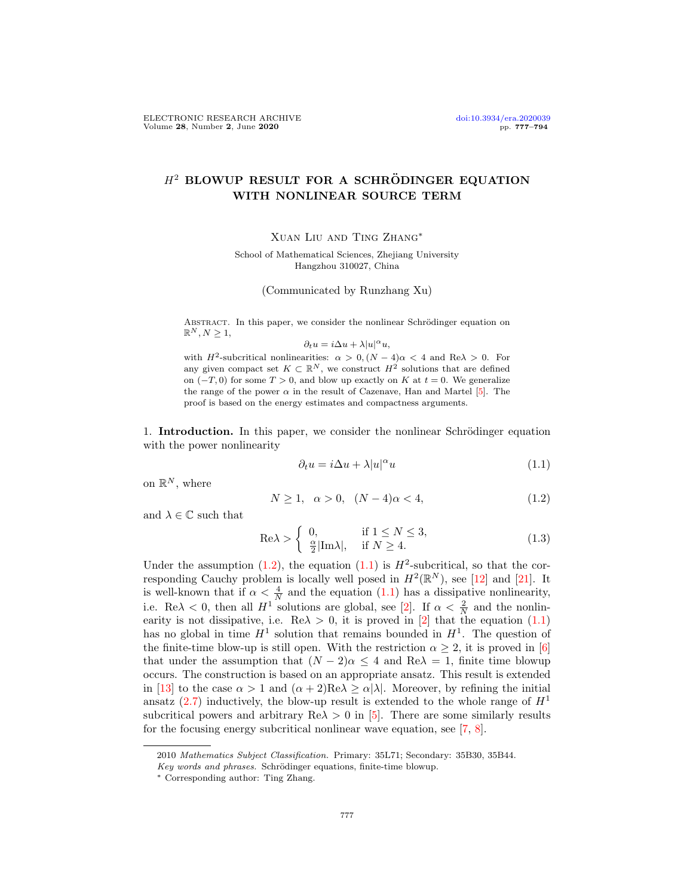## $H<sup>2</sup>$  BLOWUP RESULT FOR A SCHRÖDINGER EQUATION WITH NONLINEAR SOURCE TERM

Xuan Liu and Ting Zhang∗

School of Mathematical Sciences, Zhejiang University Hangzhou 310027, China

(Communicated by Runzhang Xu)

ABSTRACT. In this paper, we consider the nonlinear Schrödinger equation on  $\mathbb{R}^N, N \geq 1$ ,

## $\partial_t u = i \Delta u + \lambda |u|^\alpha u,$

with  $H^2$ -subcritical nonlinearities:  $\alpha > 0$ ,  $(N-4)\alpha < 4$  and Re $\lambda > 0$ . For any given compact set  $K \subset \mathbb{R}^N$ , we construct  $H^2$  solutions that are defined on  $(-T, 0)$  for some  $T > 0$ , and blow up exactly on K at  $t = 0$ . We generalize the range of the power  $\alpha$  in the result of Cazenave, Han and Martel [\[5\]](#page-17-0). The proof is based on the energy estimates and compactness arguments.

1. **Introduction.** In this paper, we consider the nonlinear Schrödinger equation with the power nonlinearity

<span id="page-0-1"></span>
$$
\partial_t u = i\Delta u + \lambda |u|^\alpha u \tag{1.1}
$$

on  $\mathbb{R}^N$ , where

<span id="page-0-0"></span>
$$
N \ge 1, \ \alpha > 0, \ (N - 4)\alpha < 4,\tag{1.2}
$$

and  $\lambda\in\mathbb{C}$  such that

<span id="page-0-2"></span>
$$
\text{Re}\lambda > \begin{cases} 0, & \text{if } 1 \le N \le 3, \\ \frac{\alpha}{2}|\text{Im}\lambda|, & \text{if } N \ge 4. \end{cases} \tag{1.3}
$$

Under the assumption  $(1.2)$ , the equation  $(1.1)$  is  $H^2$ -subcritical, so that the corresponding Cauchy problem is locally well posed in  $H^2(\mathbb{R}^N)$ , see [\[12\]](#page-17-1) and [\[21\]](#page-17-2). It is well-known that if  $\alpha < \frac{4}{N}$  and the equation [\(1.1\)](#page-0-1) has a dissipative nonlinearity, i.e. Re $\lambda < 0$ , then all  $H^1$  solutions are global, see [\[2\]](#page-16-0). If  $\alpha < \frac{2}{N}$  and the nonlinearity is not dissipative, i.e.  $\text{Re}\lambda > 0$ , it is proved in [\[2\]](#page-16-0) that the equation [\(1.1\)](#page-0-1) has no global in time  $H^1$  solution that remains bounded in  $H^1$ . The question of the finite-time blow-up is still open. With the restriction  $\alpha \geq 2$ , it is proved in [\[6\]](#page-17-3) that under the assumption that  $(N - 2)\alpha \leq 4$  and Re $\lambda = 1$ , finite time blowup occurs. The construction is based on an appropriate ansatz. This result is extended in [\[13\]](#page-17-4) to the case  $\alpha > 1$  and  $(\alpha + 2)Re\lambda \ge \alpha |\lambda|$ . Moreover, by refining the initial ansatz [\(2.7\)](#page-2-0) inductively, the blow-up result is extended to the whole range of  $H<sup>1</sup>$ subcritical powers and arbitrary  $Re\lambda > 0$  in [\[5\]](#page-17-0). There are some similarly results for the focusing energy subcritical nonlinear wave equation, see [\[7,](#page-17-5) [8\]](#page-17-6).

<sup>2010</sup> Mathematics Subject Classification. Primary: 35L71; Secondary: 35B30, 35B44.

Key words and phrases. Schrödinger equations, finite-time blowup.

<sup>∗</sup> Corresponding author: Ting Zhang.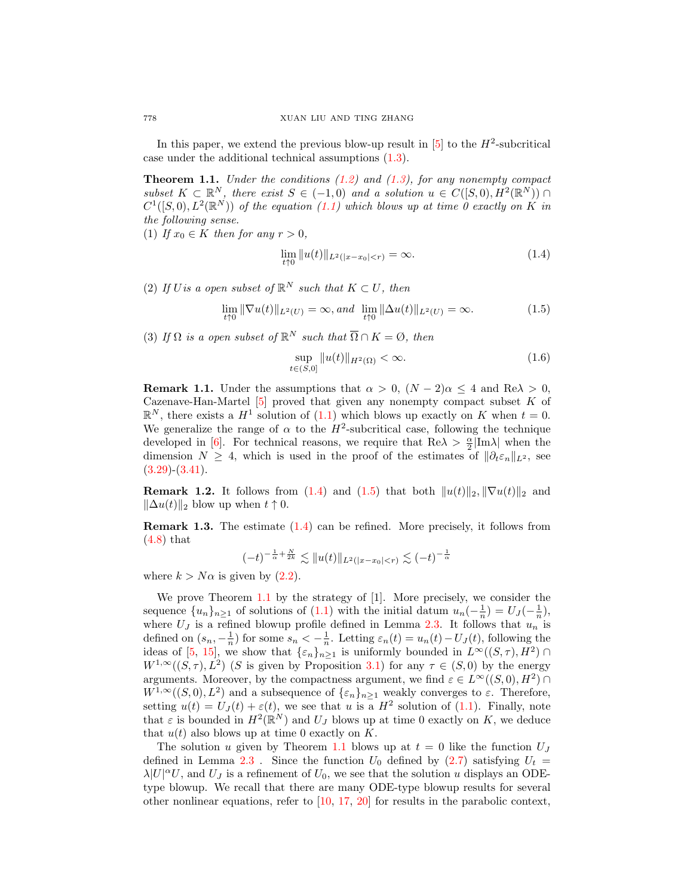In this paper, we extend the previous blow-up result in  $[5]$  to the  $H^2$ -subcritical case under the additional technical assumptions [\(1.3\)](#page-0-2).

<span id="page-1-2"></span>**Theorem 1.1.** Under the conditions  $(1.2)$  and  $(1.3)$ , for any nonempty compact subset  $K \subset \mathbb{R}^N$ , there exist  $S \in (-1,0)$  and a solution  $u \in C([S,0), H^2(\mathbb{R}^N))$  $C^1([S,0), L^2(\mathbb{R}^N))$  of the equation  $(1.1)$  which blows up at time 0 exactly on K in the following sense.

(1) If  $x_0 \in K$  then for any  $r > 0$ ,

<span id="page-1-0"></span>
$$
\lim_{t \uparrow 0} \|u(t)\|_{L^2(|x - x_0| < r)} = \infty. \tag{1.4}
$$

(2) If U is a open subset of  $\mathbb{R}^N$  such that  $K \subset U$ , then

<span id="page-1-1"></span>
$$
\lim_{t \uparrow 0} \|\nabla u(t)\|_{L^2(U)} = \infty, \text{ and } \lim_{t \uparrow 0} \|\Delta u(t)\|_{L^2(U)} = \infty.
$$
 (1.5)

(3) If  $\Omega$  is a open subset of  $\mathbb{R}^N$  such that  $\overline{\Omega} \cap K = \emptyset$ , then

<span id="page-1-3"></span>
$$
\sup_{t \in (S,0]} \|u(t)\|_{H^2(\Omega)} < \infty. \tag{1.6}
$$

**Remark 1.1.** Under the assumptions that  $\alpha > 0$ ,  $(N-2)\alpha \leq 4$  and  $\text{Re}\lambda > 0$ , Cazenave-Han-Martel  $[5]$  proved that given any nonempty compact subset K of  $\mathbb{R}^N$ , there exists a  $H^1$  solution of [\(1.1\)](#page-0-1) which blows up exactly on K when  $t=0$ . We generalize the range of  $\alpha$  to the  $H^2$ -subcritical case, following the technique developed in [\[6\]](#page-17-3). For technical reasons, we require that  $\text{Re}\lambda > \frac{\alpha}{2}|\text{Im}\lambda|$  when the dimension  $N \geq 4$ , which is used in the proof of the estimates of  $\|\partial_t \varepsilon_n\|_{L^2}$ , see  $(3.29)$ - $(3.41)$ .

Remark 1.2. It follows from [\(1.4\)](#page-1-0) and [\(1.5\)](#page-1-1) that both  $||u(t)||_2$ ,  $||\nabla u(t)||_2$  and  $\|\Delta u(t)\|_2$  blow up when  $t \uparrow 0$ .

Remark 1.3. The estimate [\(1.4\)](#page-1-0) can be refined. More precisely, it follows from [\(4.8\)](#page-16-1) that

$$
(-t)^{-\frac{1}{\alpha} + \frac{N}{2k}} \lesssim ||u(t)||_{L^2(|x-x_0| < r)} \lesssim (-t)^{-\frac{1}{\alpha}}
$$

where  $k > N\alpha$  is given by  $(2.2)$ .

We prove Theorem [1.1](#page-1-2) by the strategy of [1]. More precisely, we consider the sequence  $\{u_n\}_{n\geq 1}$  of solutions of  $(1.1)$  with the initial datum  $u_n(-\frac{1}{n}) = U_J(-\frac{1}{n}),$ where  $U_J$  is a refined blowup profile defined in Lemma [2.3.](#page-6-0) It follows that  $u_n$  is defined on  $(s_n, -\frac{1}{n})$  for some  $s_n < -\frac{1}{n}$ . Letting  $\varepsilon_n(t) = u_n(t) - U_J(t)$ , following the ideas of [\[5,](#page-17-0) [15\]](#page-17-7), we show that  $\{\varepsilon_n\}_{n\geq 1}$  is uniformly bounded in  $L^{\infty}((S,\tau), H^2) \cap$  $W^{1,\infty}((S,\tau), L^2)$  (S is given by Proposition [3.1\)](#page-8-0) for any  $\tau \in (S,0)$  by the energy arguments. Moreover, by the compactness argument, we find  $\varepsilon \in L^{\infty}((S,0), H^2) \cap$  $W^{1,\infty}((S,0), L^2)$  and a subsequence of  $\{\varepsilon_n\}_{n\geq 1}$  weakly converges to  $\varepsilon$ . Therefore, setting  $u(t) = U<sub>J</sub>(t) + \varepsilon(t)$ , we see that u is a  $H<sup>2</sup>$  solution of [\(1.1\)](#page-0-1). Finally, note that  $\varepsilon$  is bounded in  $H^2(\mathbb{R}^N)$  and  $U_J$  blows up at time 0 exactly on K, we deduce that  $u(t)$  also blows up at time 0 exactly on K.

The solution u given by Theorem [1.1](#page-1-2) blows up at  $t = 0$  like the function  $U_J$ defined in Lemma [2.3](#page-6-0). Since the function  $U_0$  defined by [\(2.7\)](#page-2-0) satisfying  $U_t =$  $\lambda |U|^{\alpha}U$ , and  $U_J$  is a refinement of  $U_0$ , we see that the solution u displays an ODEtype blowup. We recall that there are many ODE-type blowup results for several other nonlinear equations, refer to [\[10,](#page-17-8) [17,](#page-17-9) [20\]](#page-17-10) for results in the parabolic context,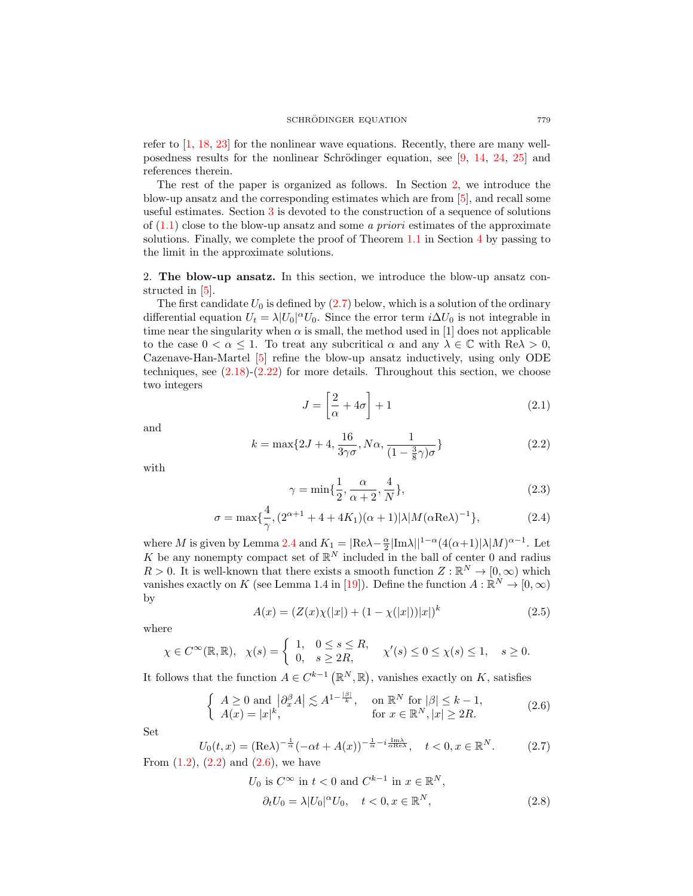refer to [\[1,](#page-16-2) [18,](#page-17-11) [23\]](#page-17-12) for the nonlinear wave equations. Recently, there are many wellposedness results for the nonlinear Schrödinger equation, see  $[9, 14, 24, 25]$  $[9, 14, 24, 25]$  $[9, 14, 24, 25]$  $[9, 14, 24, 25]$  $[9, 14, 24, 25]$  $[9, 14, 24, 25]$  $[9, 14, 24, 25]$  and references therein.

The rest of the paper is organized as follows. In Section [2,](#page-2-2) we introduce the blow-up ansatz and the corresponding estimates which are from [\[5\]](#page-17-0), and recall some useful estimates. Section [3](#page-8-1) is devoted to the construction of a sequence of solutions of  $(1.1)$  close to the blow-up ansatz and some *a priori* estimates of the approximate solutions. Finally, we complete the proof of Theorem [1.1](#page-1-2) in Section [4](#page-15-0) by passing to the limit in the approximate solutions.

<span id="page-2-2"></span>2. The blow-up ansatz. In this section, we introduce the blow-up ansatz constructed in [\[5\]](#page-17-0).

The first candidate  $U_0$  is defined by  $(2.7)$  below, which is a solution of the ordinary differential equation  $U_t = \lambda |U_0|^\alpha U_0$ . Since the error term  $i\Delta U_0$  is not integrable in time near the singularity when  $\alpha$  is small, the method used in [1] does not applicable to the case  $0 < \alpha \leq 1$ . To treat any subcritical  $\alpha$  and any  $\lambda \in \mathbb{C}$  with  $\text{Re}\lambda > 0$ , Cazenave-Han-Martel [\[5\]](#page-17-0) refine the blow-up ansatz inductively, using only ODE techniques, see  $(2.18)-(2.22)$  $(2.18)-(2.22)$  $(2.18)-(2.22)$  for more details. Throughout this section, we choose two integers

<span id="page-2-7"></span>
$$
J = \left[\frac{2}{\alpha} + 4\sigma\right] + 1\tag{2.1}
$$

and

<span id="page-2-1"></span>
$$
k = \max\{2J + 4, \frac{16}{3\gamma\sigma}, N\alpha, \frac{1}{(1 - \frac{3}{8}\gamma)\sigma}\}\
$$
\n(2.2)

with

<span id="page-2-6"></span><span id="page-2-5"></span>
$$
\gamma = \min\{\frac{1}{2}, \frac{\alpha}{\alpha + 2}, \frac{4}{N}\},\tag{2.3}
$$

$$
\sigma = \max\{\frac{4}{\gamma}, (2^{\alpha+1} + 4 + 4K_1)(\alpha+1)|\lambda|M(\alpha \text{Re}\lambda)^{-1}\},\tag{2.4}
$$

where M is given by Lemma [2.4](#page-7-0) and  $K_1 = |\text{Re}\lambda - \frac{\alpha}{2}|\text{Im}\lambda||^{1-\alpha}(4(\alpha+1)|\lambda|M)^{\alpha-1}$ . Let K be any nonempty compact set of  $\mathbb{R}^N$  included in the ball of center 0 and radius  $R > 0$ . It is well-known that there exists a smooth function  $Z : \mathbb{R}^N \to [0, \infty)$  which vanishes exactly on K (see Lemma 1.4 in [\[19\]](#page-17-17)). Define the function  $A: \mathbb{R}^N \to [0, \infty)$ by

<span id="page-2-8"></span>
$$
A(x) = (Z(x)\chi(|x|) + (1 - \chi(|x|))|x|)^k
$$
\n(2.5)

where

$$
\chi \in C^{\infty}(\mathbb{R}, \mathbb{R}), \quad \chi(s) = \begin{cases} 1, & 0 \le s \le R, \\ 0, & s \ge 2R, \end{cases} \quad \chi'(s) \le 0 \le \chi(s) \le 1, \quad s \ge 0.
$$

It follows that the function  $A \in C^{k-1}(\mathbb{R}^N, \mathbb{R})$ , vanishes exactly on K, satisfies

<span id="page-2-3"></span>
$$
\begin{cases}\nA \ge 0 \text{ and } |\partial_x^{\beta} A| \lesssim A^{1 - \frac{|\beta|}{k}}, & \text{on } \mathbb{R}^N \text{ for } |\beta| \le k - 1, \\
A(x) = |x|^k, & \text{for } x \in \mathbb{R}^N, |x| \ge 2R.\n\end{cases}
$$
\n(2.6)

Set

<span id="page-2-0"></span>
$$
U_0(t,x) = (\text{Re}\lambda)^{-\frac{1}{\alpha}}(-\alpha t + A(x))^{-\frac{1}{\alpha} - i\frac{\text{Im}\lambda}{\alpha \text{Re}\lambda}}, \quad t < 0, x \in \mathbb{R}^N. \tag{2.7}
$$

From  $(1.2)$ ,  $(2.2)$  and  $(2.6)$ , we have

<span id="page-2-4"></span>
$$
U_0 \text{ is } C^{\infty} \text{ in } t < 0 \text{ and } C^{k-1} \text{ in } x \in \mathbb{R}^N,
$$
  
\n
$$
\partial_t U_0 = \lambda |U_0|^{\alpha} U_0, \quad t < 0, x \in \mathbb{R}^N,
$$
\n(2.8)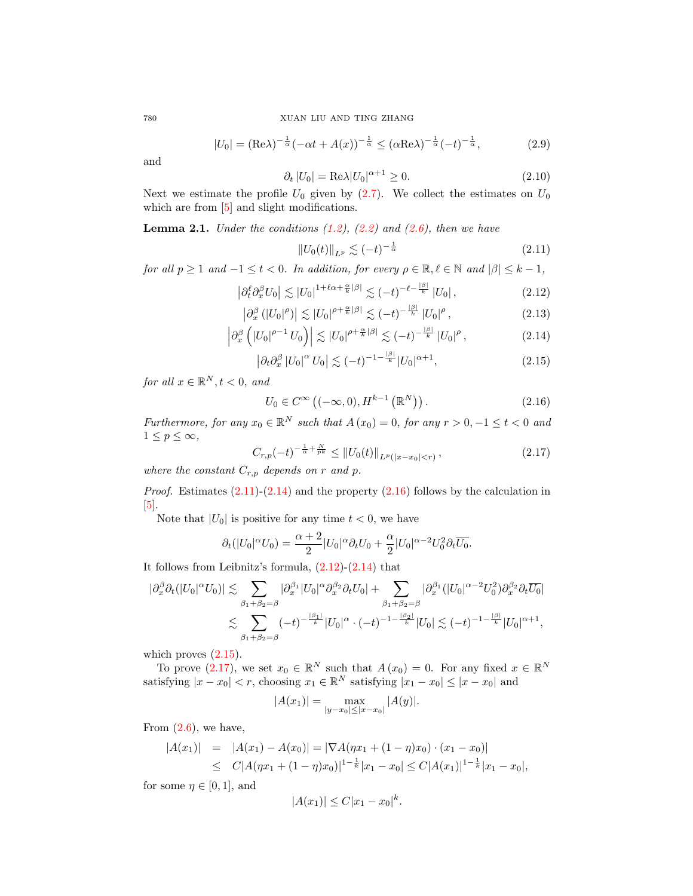<span id="page-3-7"></span>
$$
|U_0| = (\text{Re}\lambda)^{-\frac{1}{\alpha}}(-\alpha t + A(x))^{-\frac{1}{\alpha}} \le (\alpha \text{Re}\lambda)^{-\frac{1}{\alpha}}(-t)^{-\frac{1}{\alpha}},
$$
 (2.9)

and

$$
\partial_t |U_0| = \text{Re}\lambda |U_0|^{\alpha + 1} \ge 0. \tag{2.10}
$$

Next we estimate the profile  $U_0$  given by  $(2.7)$ . We collect the estimates on  $U_0$ which are from  $[5]$  and slight modifications.

<span id="page-3-6"></span>**Lemma 2.1.** Under the conditions  $(1.2)$ ,  $(2.2)$  and  $(2.6)$ , then we have

<span id="page-3-8"></span><span id="page-3-4"></span><span id="page-3-3"></span><span id="page-3-1"></span><span id="page-3-0"></span>
$$
||U_0(t)||_{L^p} \lesssim (-t)^{-\frac{1}{\alpha}} \tag{2.11}
$$

for all  $p \ge 1$  and  $-1 \le t < 0$ . In addition, for every  $\rho \in \mathbb{R}, \ell \in \mathbb{N}$  and  $|\beta| \le k - 1$ ,

$$
\left|\partial_t^{\ell}\partial_x^{\beta}U_0\right| \lesssim \left|U_0\right|^{1+\ell\alpha+\frac{\alpha}{k}|\beta|} \lesssim (-t)^{-\ell-\frac{|\beta|}{k}}\left|U_0\right|,\tag{2.12}
$$

$$
\left|\partial_x^{\beta} \left(|U_0|^{\rho}\right)\right| \lesssim |U_0|^{\rho + \frac{\alpha}{k}|\beta|} \lesssim (-t)^{-\frac{|\beta|}{k}} |U_0|^{\rho},\tag{2.13}
$$

$$
\left|\partial_x^{\beta}\left(|U_0|^{\rho-1}U_0\right)\right| \lesssim |U_0|^{\rho+\frac{\alpha}{k}|\beta|} \lesssim (-t)^{-\frac{|\beta|}{k}}|U_0|^{\rho},\tag{2.14}
$$

$$
\left|\partial_t \partial_x^{\beta} \left| U_0 \right|^{\alpha} U_0 \right| \lesssim (-t)^{-1 - \frac{|\beta|}{k}} |U_0|^{\alpha + 1}, \tag{2.15}
$$

for all  $x \in \mathbb{R}^N, t < 0$ , and

<span id="page-3-2"></span>
$$
U_0 \in C^{\infty} \left( (-\infty, 0), H^{k-1} \left( \mathbb{R}^N \right) \right). \tag{2.16}
$$

Furthermore, for any  $x_0 \in \mathbb{R}^N$  such that  $A(x_0) = 0$ , for any  $r > 0, -1 \le t < 0$  and  $1 \leq p \leq \infty$ ,

<span id="page-3-5"></span>
$$
C_{r,p}(-t)^{-\frac{1}{\alpha} + \frac{N}{pk}} \le \|U_0(t)\|_{L^p(|x-x_0|
$$

where the constant  $C_{r,p}$  depends on r and p.

*Proof.* Estimates  $(2.11)-(2.14)$  $(2.11)-(2.14)$  $(2.11)-(2.14)$  and the property  $(2.16)$  follows by the calculation in [\[5\]](#page-17-0).

Note that  $|U_0|$  is positive for any time  $t < 0$ , we have

$$
\partial_t(|U_0|^\alpha U_0) = \frac{\alpha+2}{2}|U_0|^\alpha \partial_t U_0 + \frac{\alpha}{2}|U_0|^{\alpha-2}U_0^2 \partial_t \overline{U_0}.
$$

It follows from Leibnitz's formula,  $(2.12)-(2.14)$  $(2.12)-(2.14)$  $(2.12)-(2.14)$  that

$$
|\partial_x^{\beta} \partial_t (|U_0|^{\alpha} U_0)| \lesssim \sum_{\beta_1 + \beta_2 = \beta} |\partial_x^{\beta_1} |U_0|^{\alpha} \partial_x^{\beta_2} \partial_t U_0| + \sum_{\beta_1 + \beta_2 = \beta} |\partial_x^{\beta_1} (|U_0|^{\alpha - 2} U_0^2) \partial_x^{\beta_2} \partial_t \overline{U_0}|
$$
  

$$
\lesssim \sum_{\beta_1 + \beta_2 = \beta} (-t)^{-\frac{|\beta_1|}{k}} |U_0|^{\alpha} \cdot (-t)^{-1 - \frac{|\beta_2|}{k}} |U_0| \lesssim (-t)^{-1 - \frac{|\beta|}{k}} |U_0|^{\alpha + 1},
$$

which proves  $(2.15)$ .

To prove  $(2.17)$ , we set  $x_0 \in \mathbb{R}^N$  such that  $A(x_0) = 0$ . For any fixed  $x \in \mathbb{R}^N$ satisfying  $|x - x_0| < r$ , choosing  $x_1 \in \mathbb{R}^N$  satisfying  $|x_1 - x_0| \le |x - x_0|$  and

$$
|A(x_1)| = \max_{|y-x_0| \le |x-x_0|} |A(y)|.
$$

From  $(2.6)$ , we have,

$$
|A(x_1)| = |A(x_1) - A(x_0)| = |\nabla A(\eta x_1 + (1 - \eta)x_0) \cdot (x_1 - x_0)|
$$
  
\n
$$
\leq C|A(\eta x_1 + (1 - \eta)x_0)|^{1 - \frac{1}{k}} |x_1 - x_0| \leq C|A(x_1)|^{1 - \frac{1}{k}} |x_1 - x_0|,
$$

for some  $\eta \in [0, 1]$ , and

$$
|A(x_1)| \le C|x_1 - x_0|^k.
$$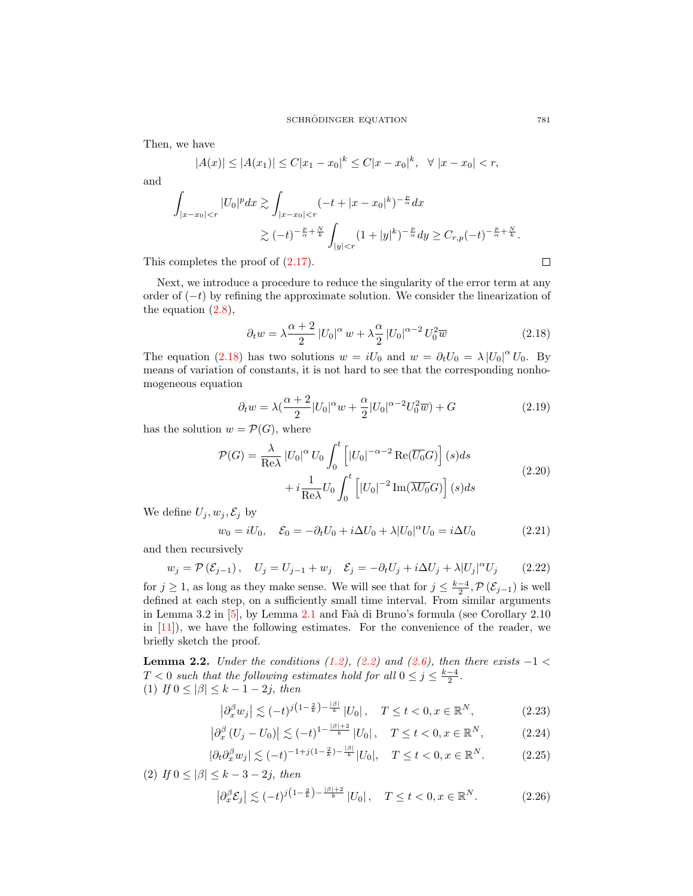Then, we have

$$
|A(x)| \le |A(x_1)| \le C|x_1 - x_0|^k \le C|x - x_0|^k, \quad \forall |x - x_0| < r,
$$

and

$$
\int_{|x-x_0|  

$$
\gtrsim (-t)^{-\frac{p}{\alpha}+\frac{N}{k}} \int_{|y|  
completes the proof of (2.17).
$$
$$

This completes the proof of [\(2.17\)](#page-3-5).

Next, we introduce a procedure to reduce the singularity of the error term at any order of  $(-t)$  by refining the approximate solution. We consider the linearization of the equation  $(2.8)$ ,

<span id="page-4-0"></span>
$$
\partial_t w = \lambda \frac{\alpha + 2}{2} \left| U_0 \right|^\alpha w + \lambda \frac{\alpha}{2} \left| U_0 \right|^{\alpha - 2} U_0^2 \overline{w}
$$
\n(2.18)

The equation [\(2.18\)](#page-4-0) has two solutions  $w = iU_0$  and  $w = \partial_t U_0 = \lambda |U_0|^{\alpha} U_0$ . By means of variation of constants, it is not hard to see that the corresponding nonhomogeneous equation

<span id="page-4-6"></span>
$$
\partial_t w = \lambda \left(\frac{\alpha+2}{2} |U_0|^\alpha w + \frac{\alpha}{2} |U_0|^{\alpha-2} U_0^2 \overline{w}\right) + G \tag{2.19}
$$

has the solution  $w = \mathcal{P}(G)$ , where

<span id="page-4-4"></span>
$$
\mathcal{P}(G) = \frac{\lambda}{\text{Re}\lambda} |U_0|^\alpha U_0 \int_0^t \left[ |U_0|^{-\alpha - 2} \text{Re}(\overline{U_0} G) \right] (s) ds
$$
  
+  $i \frac{1}{\text{Re}\lambda} U_0 \int_0^t \left[ |U_0|^{-2} \text{Im}(\overline{\lambda U_0} G) \right] (s) ds$  (2.20)

We define  $U_j, w_j, \mathcal{E}_j$  by

$$
w_0 = iU_0, \quad \mathcal{E}_0 = -\partial_t U_0 + i\Delta U_0 + \lambda |U_0|^\alpha U_0 = i\Delta U_0 \tag{2.21}
$$

and then recursively

<span id="page-4-1"></span>
$$
w_j = \mathcal{P}(\mathcal{E}_{j-1}), \quad U_j = U_{j-1} + w_j \quad \mathcal{E}_j = -\partial_t U_j + i\Delta U_j + \lambda |U_j|^\alpha U_j \tag{2.22}
$$

for  $j \geq 1$ , as long as they make sense. We will see that for  $j \leq \frac{k-4}{2}$ ,  $\mathcal{P}(\mathcal{E}_{j-1})$  is well defined at each step, on a sufficiently small time interval. From similar arguments in Lemma 3.2 in  $[5]$ , by Lemma [2.1](#page-3-6) and Faà di Bruno's formula (see Corollary 2.10) in [\[11\]](#page-17-18)), we have the following estimates. For the convenience of the reader, we briefly sketch the proof.

<span id="page-4-8"></span>**Lemma 2.2.** Under the conditions  $(1.2)$ ,  $(2.2)$  and  $(2.6)$ , then there exists  $-1 <$  $T < 0$  such that the following estimates hold for all  $0 \le j \le \frac{k-4}{2}$ . (1) If  $0 \leq |\beta| \leq k-1-2j$ , then

<span id="page-4-7"></span><span id="page-4-3"></span><span id="page-4-2"></span>
$$
\left|\partial_x^{\beta} w_j\right| \lesssim (-t)^{j\left(1-\frac{2}{k}\right) - \frac{|\beta|}{k}} |U_0|, \quad T \le t < 0, x \in \mathbb{R}^N,\tag{2.23}
$$

$$
\left|\partial_x^{\beta} \left( U_j - U_0 \right) \right| \lesssim (-t)^{1 - \frac{|\beta| + 2}{k}} |U_0|, \quad T \le t < 0, x \in \mathbb{R}^N, \tag{2.24}
$$

$$
|\partial_t \partial_x^{\beta} w_j| \lesssim (-t)^{-1+j(1-\frac{2}{k})-\frac{|\beta|}{k}} |U_0|, \quad T \le t < 0, x \in \mathbb{R}^N. \tag{2.25}
$$

(2) If  $0 \leq |\beta| \leq k-3-2j$ , then

<span id="page-4-5"></span>
$$
\left|\partial_x^{\beta} \mathcal{E}_j\right| \lesssim (-t)^{j\left(1-\frac{2}{k}\right)-\frac{|\beta|+2}{k}} |U_0|, \quad T \le t < 0, x \in \mathbb{R}^N. \tag{2.26}
$$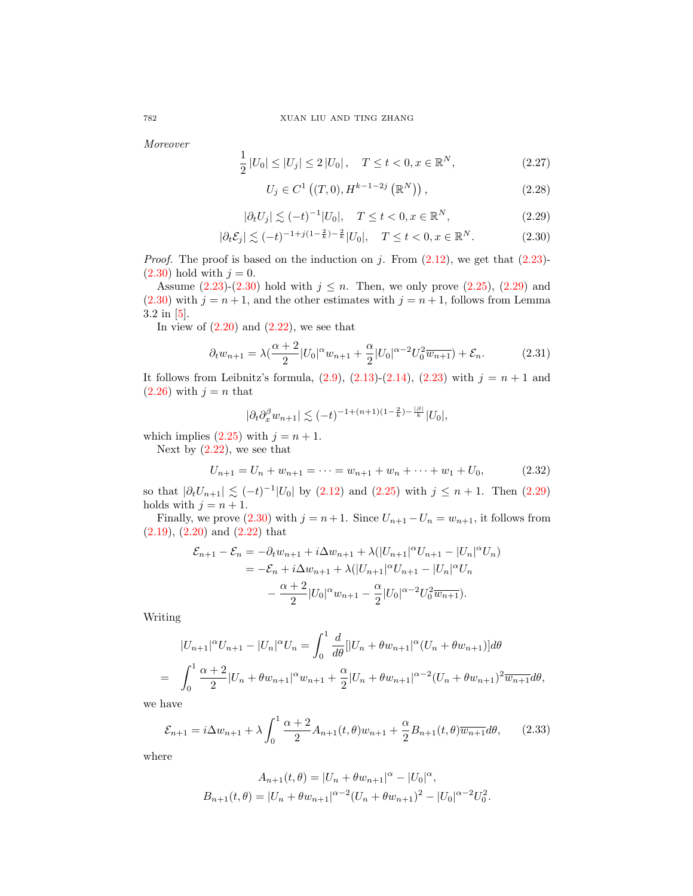Moreover

$$
\frac{1}{2}|U_0| \le |U_j| \le 2|U_0|, \quad T \le t < 0, x \in \mathbb{R}^N,\tag{2.27}
$$

<span id="page-5-4"></span><span id="page-5-1"></span><span id="page-5-0"></span>
$$
U_j \in C^1((T,0), H^{k-1-2j}(\mathbb{R}^N)), \qquad (2.28)
$$

$$
|\partial_t U_j| \lesssim (-t)^{-1} |U_0|, \quad T \le t < 0, x \in \mathbb{R}^N,
$$
\n(2.29)

$$
|\partial_t \mathcal{E}_j| \lesssim (-t)^{-1+j(1-\frac{2}{k})-\frac{2}{k}} |U_0|, \quad T \le t < 0, x \in \mathbb{R}^N. \tag{2.30}
$$

*Proof.* The proof is based on the induction on j. From  $(2.12)$ , we get that  $(2.23)$ - $(2.30)$  hold with  $j = 0$ .

Assume  $(2.23)-(2.30)$  $(2.23)-(2.30)$  $(2.23)-(2.30)$  hold with  $j \leq n$ . Then, we only prove  $(2.25)$ ,  $(2.29)$  and  $(2.30)$  with  $j = n + 1$ , and the other estimates with  $j = n + 1$ , follows from Lemma 3.2 in [\[5\]](#page-17-0).

In view of  $(2.20)$  and  $(2.22)$ , we see that

$$
\partial_t w_{n+1} = \lambda \left( \frac{\alpha + 2}{2} |U_0|^\alpha w_{n+1} + \frac{\alpha}{2} |U_0|^{\alpha - 2} U_0^2 \overline{w_{n+1}} \right) + \mathcal{E}_n. \tag{2.31}
$$

It follows from Leibnitz's formula,  $(2.9)$ ,  $(2.13)-(2.14)$  $(2.13)-(2.14)$  $(2.13)-(2.14)$ ,  $(2.23)$  with  $j = n + 1$  and  $(2.26)$  with  $j = n$  that

$$
|\partial_t \partial_x^{\beta} w_{n+1}| \lesssim (-t)^{-1 + (n+1)(1 - \frac{2}{k}) - \frac{|\beta|}{k}} |U_0|,
$$

which implies  $(2.25)$  with  $j = n + 1$ .

Next by  $(2.22)$ , we see that

<span id="page-5-2"></span>
$$
U_{n+1} = U_n + w_{n+1} = \dots = w_{n+1} + w_n + \dots + w_1 + U_0, \tag{2.32}
$$

so that  $|\partial_t U_{n+1}| \lesssim (-t)^{-1} |U_0|$  by  $(2.12)$  and  $(2.25)$  with  $j \leq n+1$ . Then  $(2.29)$ holds with  $j = n + 1$ .

Finally, we prove [\(2.30\)](#page-5-0) with  $j = n + 1$ . Since  $U_{n+1} - U_n = w_{n+1}$ , it follows from [\(2.19\)](#page-4-6), [\(2.20\)](#page-4-4) and [\(2.22\)](#page-4-1) that

$$
\mathcal{E}_{n+1} - \mathcal{E}_n = -\partial_t w_{n+1} + i\Delta w_{n+1} + \lambda (|U_{n+1}|^{\alpha} U_{n+1} - |U_n|^{\alpha} U_n)
$$
  
=  $-\mathcal{E}_n + i\Delta w_{n+1} + \lambda (|U_{n+1}|^{\alpha} U_{n+1} - |U_n|^{\alpha} U_n - \frac{\alpha + 2}{2} |U_0|^{\alpha} w_{n+1} - \frac{\alpha}{2} |U_0|^{\alpha - 2} U_0^2 \overline{w_{n+1}}).$ 

Writing

$$
|U_{n+1}|^{\alpha}U_{n+1} - |U_n|^{\alpha}U_n = \int_0^1 \frac{d}{d\theta} [|U_n + \theta w_{n+1}|^{\alpha} (U_n + \theta w_{n+1})] d\theta
$$
  
= 
$$
\int_0^1 \frac{\alpha + 2}{2} |U_n + \theta w_{n+1}|^{\alpha} w_{n+1} + \frac{\alpha}{2} |U_n + \theta w_{n+1}|^{\alpha - 2} (U_n + \theta w_{n+1})^2 \overline{w_{n+1}} d\theta,
$$

we have

<span id="page-5-3"></span>
$$
\mathcal{E}_{n+1} = i\Delta w_{n+1} + \lambda \int_0^1 \frac{\alpha+2}{2} A_{n+1}(t,\theta) w_{n+1} + \frac{\alpha}{2} B_{n+1}(t,\theta) \overline{w_{n+1}} d\theta, \qquad (2.33)
$$

where

$$
A_{n+1}(t,\theta) = |U_n + \theta w_{n+1}|^{\alpha} - |U_0|^{\alpha},
$$
  

$$
B_{n+1}(t,\theta) = |U_n + \theta w_{n+1}|^{\alpha-2}(U_n + \theta w_{n+1})^2 - |U_0|^{\alpha-2}U_0^2.
$$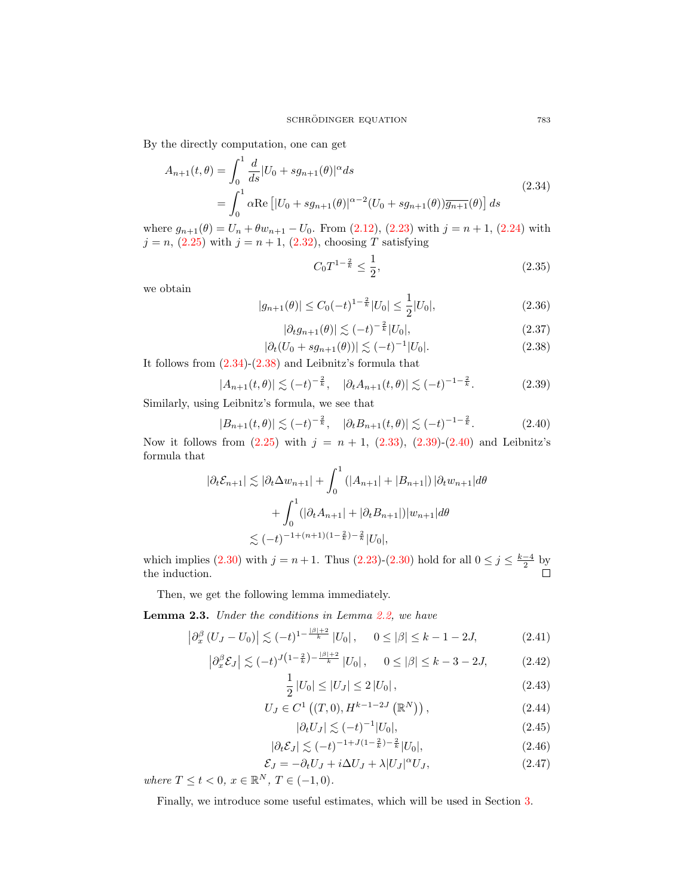By the directly computation, one can get

<span id="page-6-1"></span>
$$
A_{n+1}(t,\theta) = \int_0^1 \frac{d}{ds} |U_0 + s g_{n+1}(\theta)|^{\alpha} ds
$$
  
= 
$$
\int_0^1 \alpha \text{Re} \left[ |U_0 + s g_{n+1}(\theta)|^{\alpha-2} (U_0 + s g_{n+1}(\theta)) \overline{g_{n+1}}(\theta) \right] ds
$$
 (2.34)

where  $g_{n+1}(\theta) = U_n + \theta w_{n+1} - U_0$ . From [\(2.12\)](#page-3-3), [\(2.23\)](#page-4-2) with  $j = n+1$ , [\(2.24\)](#page-4-7) with  $j = n$ ,  $(2.25)$  with  $j = n + 1$ ,  $(2.32)$ , choosing T satisfying

$$
C_0 T^{1 - \frac{2}{k}} \le \frac{1}{2},\tag{2.35}
$$

we obtain

$$
|g_{n+1}(\theta)| \le C_0(-t)^{1-\frac{2}{k}}|U_0| \le \frac{1}{2}|U_0|,\tag{2.36}
$$

$$
|\partial_t g_{n+1}(\theta)| \lesssim (-t)^{-\frac{2}{k}} |U_0|,\tag{2.37}
$$

<span id="page-6-2"></span>
$$
|\partial_t (U_0 + s g_{n+1}(\theta))| \lesssim (-t)^{-1} |U_0|.
$$
 (2.38)

It follows from [\(2.34\)](#page-6-1)-[\(2.38\)](#page-6-2) and Leibnitz's formula that

<span id="page-6-3"></span>
$$
|A_{n+1}(t,\theta)| \lesssim (-t)^{-\frac{2}{k}}, \quad |\partial_t A_{n+1}(t,\theta)| \lesssim (-t)^{-1-\frac{2}{k}}.
$$
 (2.39)

Similarly, using Leibnitz's formula, we see that

<span id="page-6-4"></span>
$$
|B_{n+1}(t,\theta)| \lesssim (-t)^{-\frac{2}{k}}, \quad |\partial_t B_{n+1}(t,\theta)| \lesssim (-t)^{-1-\frac{2}{k}}.
$$
 (2.40)

Now it follows from  $(2.25)$  with  $j = n + 1$ ,  $(2.33)$ ,  $(2.39)-(2.40)$  $(2.39)-(2.40)$  $(2.39)-(2.40)$  and Leibnitz's formula that

$$
|\partial_t \mathcal{E}_{n+1}| \lesssim |\partial_t \Delta w_{n+1}| + \int_0^1 (|A_{n+1}| + |B_{n+1}|) |\partial_t w_{n+1}| d\theta
$$
  
+ 
$$
\int_0^1 (|\partial_t A_{n+1}| + |\partial_t B_{n+1}|) |w_{n+1}| d\theta
$$
  

$$
\lesssim (-t)^{-1 + (n+1)(1 - \frac{2}{k}) - \frac{2}{k}} |U_0|,
$$

which implies [\(2.30\)](#page-5-0) with  $j = n + 1$ . Thus [\(2.23\)](#page-4-2)-(2.30) hold for all  $0 \le j \le \frac{k-4}{2}$  by the induction.

Then, we get the following lemma immediately.

<span id="page-6-0"></span>Lemma 2.3. Under the conditions in Lemma [2.2,](#page-4-8) we have

<span id="page-6-7"></span>
$$
\left|\partial_x^{\beta} \left(U_J - U_0\right)\right| \lesssim (-t)^{1 - \frac{|\beta| + 2}{k}} |U_0|, \quad 0 \leq |\beta| \leq k - 1 - 2J,\tag{2.41}
$$

<span id="page-6-6"></span>
$$
\left|\partial_x^{\beta} \mathcal{E}_J\right| \lesssim (-t)^{J\left(1-\frac{2}{k}\right)-\frac{|\beta|+2}{k}} |U_0|, \quad 0 \leq |\beta| \leq k-3-2J,\tag{2.42}
$$

<span id="page-6-5"></span>
$$
\frac{1}{2}|U_0| \le |U_J| \le 2|U_0|,\tag{2.43}
$$

$$
U_J \in C^1((T,0), H^{k-1-2J}(\mathbb{R}^N)), \qquad (2.44)
$$

<span id="page-6-8"></span>
$$
|\partial_t U_J| \lesssim (-t)^{-1} |U_0|,\tag{2.45}
$$

<span id="page-6-9"></span>
$$
|\partial_t \mathcal{E}_J| \lesssim (-t)^{-1+J(1-\frac{2}{k})-\frac{2}{k}} |U_0|,\tag{2.46}
$$

<span id="page-6-10"></span>
$$
\mathcal{E}_J = -\partial_t U_J + i\Delta U_J + \lambda |U_J|^\alpha U_J,\tag{2.47}
$$

where  $T \le t < 0, x \in \mathbb{R}^N, T \in (-1,0)$ .

Finally, we introduce some useful estimates, which will be used in Section [3.](#page-8-1)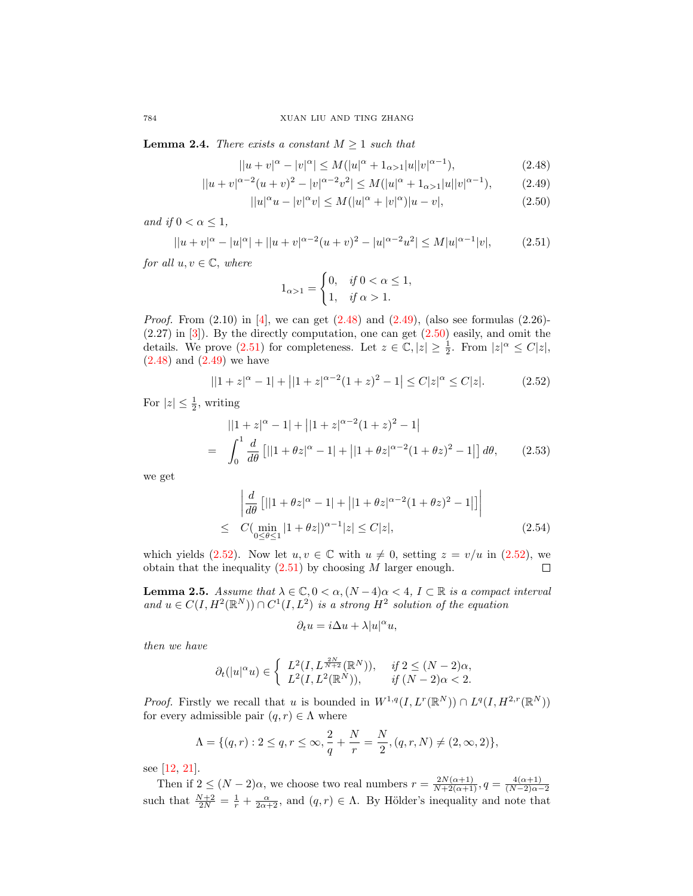<span id="page-7-0"></span>**Lemma 2.4.** There exists a constant  $M \geq 1$  such that

$$
||u + v|^{\alpha} - |v|^{\alpha}| \le M(|u|^{\alpha} + 1_{\alpha > 1}|u||v|^{\alpha - 1}),
$$
\n(2.48)

$$
||u + v|^{\alpha - 2}(u + v)^{2} - |v|^{\alpha - 2}v^{2}| \le M(|u|^{\alpha} + 1_{\alpha > 1}|u||v|^{\alpha - 1}), \tag{2.49}
$$

$$
||u|^{\alpha}u - |v|^{\alpha}v| \le M(|u|^{\alpha} + |v|^{\alpha})|u - v|,
$$
\n(2.50)

and if  $0 < \alpha \leq 1$ ,

<span id="page-7-4"></span>
$$
||u + v|^{\alpha} - |u|^{\alpha}| + ||u + v|^{\alpha - 2}(u + v)^{2} - |u|^{\alpha - 2}u^{2}| \le M|u|^{\alpha - 1}|v|,
$$
 (2.51)

for all  $u, v \in \mathbb{C}$ , where

<span id="page-7-3"></span><span id="page-7-2"></span><span id="page-7-1"></span>
$$
1_{\alpha>1} = \begin{cases} 0, & \text{if } 0 < \alpha \le 1, \\ 1, & \text{if } \alpha > 1. \end{cases}
$$

*Proof.* From  $(2.10)$  in [\[4\]](#page-17-19), we can get  $(2.48)$  and  $(2.49)$ , (also see formulas  $(2.26)$ -(2.27) in [\[3\]](#page-16-3)). By the directly computation, one can get [\(2.50\)](#page-7-3) easily, and omit the details. We prove [\(2.51\)](#page-7-4) for completeness. Let  $z \in \mathbb{C}, |z| \geq \frac{1}{2}$ . From  $|z|^{\alpha} \leq C|z|$ , [\(2.48\)](#page-7-1) and [\(2.49\)](#page-7-2) we have

<span id="page-7-5"></span>
$$
||1+z|^{\alpha}-1|+||1+z|^{\alpha-2}(1+z)^{2}-1| \leq C|z|^{\alpha} \leq C|z|.
$$
 (2.52)

For  $|z| \leq \frac{1}{2}$ , writing

$$
||1+z|^{\alpha}-1|+||1+z|^{\alpha-2}(1+z)^{2}-1|
$$
  
= 
$$
\int_{0}^{1} \frac{d}{d\theta} [||1+\theta z|^{\alpha}-1|+||1+\theta z|^{\alpha-2}(1+\theta z)^{2}-1|] d\theta,
$$
 (2.53)

we get

$$
\begin{aligned}\n\left| \frac{d}{d\theta} \left[ ||1 + \theta z|^{\alpha} - 1| + ||1 + \theta z|^{\alpha - 2} (1 + \theta z)^2 - 1| \right] \right| \\
\leq C(\min_{0 \leq \theta \leq 1} |1 + \theta z|)^{\alpha - 1} |z| \leq C|z|,\n\end{aligned} \tag{2.54}
$$

which yields [\(2.52\)](#page-7-5). Now let  $u, v \in \mathbb{C}$  with  $u \neq 0$ , setting  $z = v/u$  in (2.52), we obtain that the inequality  $(2.51)$  by choosing M larger enough.  $\Box$ 

<span id="page-7-6"></span>**Lemma 2.5.** Assume that  $\lambda \in \mathbb{C}$ ,  $0 < \alpha$ ,  $(N-4)\alpha < 4$ ,  $I \subset \mathbb{R}$  is a compact interval and  $u \in C(I, H^2(\mathbb{R}^N)) \cap C^1(I, L^2)$  is a strong  $H^2$  solution of the equation

$$
\partial_t u = i\Delta u + \lambda |u|^\alpha u,
$$

then we have

$$
\partial_t(|u|^\alpha u) \in \left\{ \begin{array}{ll} L^2(I,L^{\frac{2N}{N+2}}(\mathbb{R}^N)), & \text{ if } 2 \leq (N-2)\alpha, \\ L^2(I,L^2(\mathbb{R}^N)), & \text{ if } (N-2)\alpha < 2. \end{array} \right.
$$

*Proof.* Firstly we recall that u is bounded in  $W^{1,q}(I, L^r(\mathbb{R}^N)) \cap L^q(I, H^{2,r}(\mathbb{R}^N))$ for every admissible pair  $(q, r) \in \Lambda$  where

$$
\Lambda = \{ (q, r) : 2 \le q, r \le \infty, \frac{2}{q} + \frac{N}{r} = \frac{N}{2}, (q, r, N) \ne (2, \infty, 2) \},\
$$

see [\[12,](#page-17-1) [21\]](#page-17-2).

Then if  $2 \leq (N-2)\alpha$ , we choose two real numbers  $r = \frac{2N(\alpha+1)}{N+2(\alpha+1)}, q = \frac{4(\alpha+1)}{(N-2)\alpha-1}$  $(N-2)\alpha-2$ such that  $\frac{N+2}{2N} = \frac{1}{r} + \frac{\alpha}{2\alpha+2}$ , and  $(q, r) \in \Lambda$ . By Hölder's inequality and note that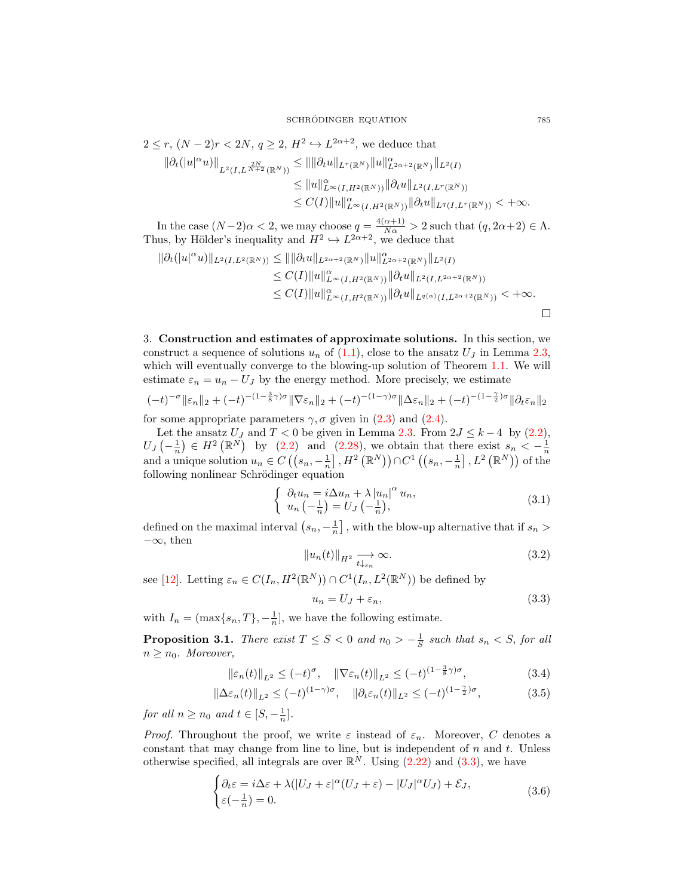$$
2 \le r, (N-2)r < 2N, q \ge 2, H^2 \hookrightarrow L^{2\alpha+2}, \text{ we deduce that}
$$
  
\n
$$
\|\partial_t(|u|^{\alpha}u)\|_{L^2(I,L^{\frac{2N}{N+2}}(\mathbb{R}^N))} \le \|\|\partial_t u\|_{L^r(\mathbb{R}^N)} \|u\|_{L^{2\alpha+2}(\mathbb{R}^N)}^{\alpha}
$$
  
\n
$$
\le \|u\|_{L^{\infty}(I,H^2(\mathbb{R}^N))}^{\alpha}
$$
  
\n
$$
\le C(I) \|u\|_{L^{\infty}(I,H^2(\mathbb{R}^N))}^{\alpha}
$$
  
\n
$$
\|\partial_t u\|_{L^q(I,L^r(\mathbb{R}^N))}
$$
  
\n
$$
\le C(I) \|u\|_{L^{\infty}(I,H^2(\mathbb{R}^N))}^{\alpha}
$$

In the case  $(N-2)\alpha < 2$ , we may choose  $q = \frac{4(\alpha+1)}{N\alpha} > 2$  such that  $(q, 2\alpha+2) \in \Lambda$ . Thus, by Hölder's inequality and  $H^2 \hookrightarrow L^{2\alpha+2}$ , we deduce that

$$
\|\partial_t(|u|^\alpha u)\|_{L^2(I,L^2(\mathbb{R}^N))} \leq \|\|\partial_t u\|_{L^{2\alpha+2}(\mathbb{R}^N)} \|u\|_{L^{2\alpha+2}(\mathbb{R}^N)}^{\alpha} \|_{L^2(I)} \n\leq C(I) \|u\|_{L^\infty(I,H^2(\mathbb{R}^N))}^{\alpha} \|\partial_t u\|_{L^2(I,L^{2\alpha+2}(\mathbb{R}^N))} \n\leq C(I) \|u\|_{L^\infty(I,H^2(\mathbb{R}^N))}^{\alpha} \|\partial_t u\|_{L^{q(\alpha)}(I,L^{2\alpha+2}(\mathbb{R}^N))} < +\infty.
$$

<span id="page-8-1"></span>3. Construction and estimates of approximate solutions. In this section, we construct a sequence of solutions  $u_n$  of [\(1.1\)](#page-0-1), close to the ansatz  $U_J$  in Lemma [2.3,](#page-6-0) which will eventually converge to the blowing-up solution of Theorem [1.1.](#page-1-2) We will estimate  $\varepsilon_n = u_n - U_J$  by the energy method. More precisely, we estimate

$$
(-t)^{-\sigma} \|\varepsilon_n\|_2 + (-t)^{-(1-\frac{3}{8}\gamma)\sigma} \|\nabla \varepsilon_n\|_2 + (-t)^{-(1-\gamma)\sigma} \|\Delta \varepsilon_n\|_2 + (-t)^{-(1-\frac{\gamma}{2})\sigma} \|\partial_t \varepsilon_n\|_2
$$

for some appropriate parameters  $\gamma$ ,  $\sigma$  given in [\(2.3\)](#page-2-5) and [\(2.4\)](#page-2-6).

Let the ansatz  $U_J$  and  $T < 0$  be given in Lemma [2.3.](#page-6-0) From  $2J \leq k-4$  by [\(2.2\)](#page-2-1),  $U_J\left(-\frac{1}{n}\right) \in H^2\left(\mathbb{R}^N\right)$  by [\(2.2\)](#page-2-1) and [\(2.28\)](#page-5-4), we obtain that there exist  $s_n < -\frac{1}{n}$ <br>and a unique solution  $u_n \in C\left(\left(s_n, -\frac{1}{n}\right], H^2\left(\mathbb{R}^N\right)\right) \cap C^1\left(\left(s_n, -\frac{1}{n}\right], L^2\left(\mathbb{R}^N\right)\right)$  of the following nonlinear Schrödinger equation

$$
\begin{cases}\n\partial_t u_n = i \Delta u_n + \lambda |u_n|^\alpha u_n, \\
u_n \left(-\frac{1}{n}\right) = U_J \left(-\frac{1}{n}\right),\n\end{cases} \tag{3.1}
$$

defined on the maximal interval  $(s_n, -\frac{1}{n}]$ , with the blow-up alternative that if  $s_n >$  $-\infty$ , then

<span id="page-8-3"></span>
$$
||u_n(t)||_{H^2} \underset{t \downarrow s_n}{\longrightarrow} \infty. \tag{3.2}
$$

see [\[12\]](#page-17-1). Letting  $\varepsilon_n \in C(I_n, H^2(\mathbb{R}^N)) \cap C^1(I_n, L^2(\mathbb{R}^N))$  be defined by

<span id="page-8-6"></span><span id="page-8-5"></span><span id="page-8-2"></span>
$$
u_n = U_J + \varepsilon_n,\tag{3.3}
$$

with  $I_n = (\max\{s_n, T\}, -\frac{1}{n}],$  we have the following estimate.

<span id="page-8-0"></span>**Proposition 3.1.** There exist  $T \leq S < 0$  and  $n_0 > -\frac{1}{S}$  such that  $s_n < S$ , for all  $n \geq n_0$ . Moreover,

$$
\|\varepsilon_n(t)\|_{L^2} \le (-t)^\sigma, \quad \|\nabla \varepsilon_n(t)\|_{L^2} \le (-t)^{(1-\frac{3}{8}\gamma)\sigma},\tag{3.4}
$$

$$
\|\Delta\varepsilon_n(t)\|_{L^2} \le (-t)^{(1-\gamma)\sigma}, \quad \|\partial_t\varepsilon_n(t)\|_{L^2} \le (-t)^{(1-\frac{\gamma}{2})\sigma}, \tag{3.5}
$$

for all  $n \geq n_0$  and  $t \in [S, -\frac{1}{n}].$ 

*Proof.* Throughout the proof, we write  $\varepsilon$  instead of  $\varepsilon_n$ . Moreover, C denotes a constant that may change from line to line, but is independent of  $n$  and  $t$ . Unless otherwise specified, all integrals are over  $\mathbb{R}^N$ . Using  $(2.22)$  and  $(3.3)$ , we have

<span id="page-8-4"></span>
$$
\begin{cases} \partial_t \varepsilon = i\Delta\varepsilon + \lambda (|U_J + \varepsilon|^\alpha (U_J + \varepsilon) - |U_J|^\alpha U_J) + \mathcal{E}_J, \\ \varepsilon (-\frac{1}{n}) = 0. \end{cases} \tag{3.6}
$$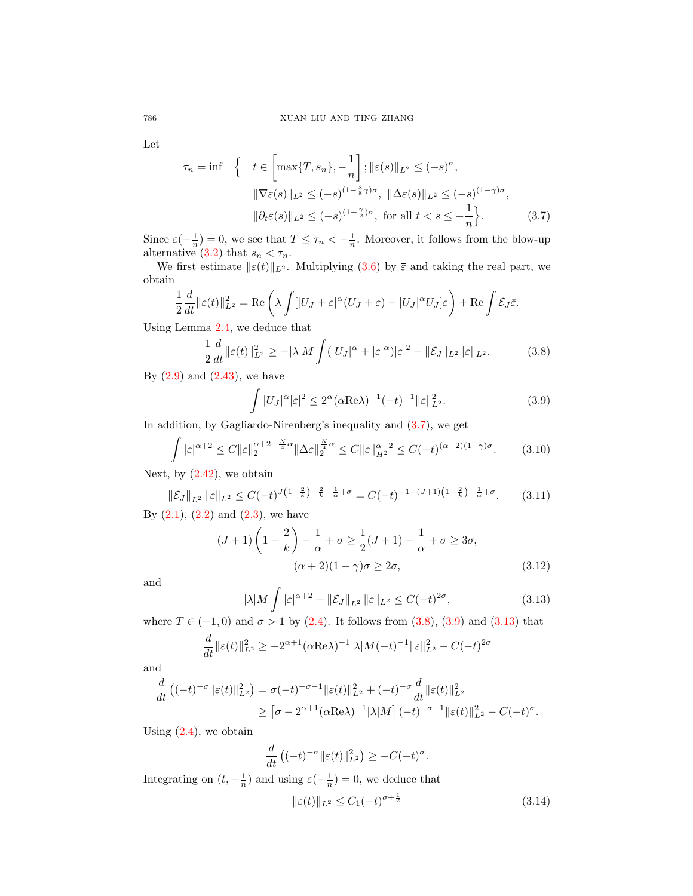Let

<span id="page-9-0"></span>
$$
\tau_n = \inf \left\{ t \in \left[ \max\{T, s_n\}, -\frac{1}{n} \right]; \|\varepsilon(s)\|_{L^2} \le (-s)^\sigma, \|\nabla \varepsilon(s)\|_{L^2} \le (-s)^{(1-\frac{3}{8}\gamma)\sigma}, \|\Delta \varepsilon(s)\|_{L^2} \le (-s)^{(1-\gamma)\sigma}, \|\partial_t \varepsilon(s)\|_{L^2} \le (-s)^{(1-\frac{\gamma}{2})\sigma}, \text{ for all } t < s \le -\frac{1}{n} \right\}. \tag{3.7}
$$

Since  $\varepsilon(-\frac{1}{n})=0$ , we see that  $T \leq \tau_n < -\frac{1}{n}$ . Moreover, it follows from the blow-up alternative [\(3.2\)](#page-8-3) that  $s_n < \tau_n$ .

We first estimate  $\|\varepsilon(t)\|_{L^2}$ . Multiplying [\(3.6\)](#page-8-4) by  $\bar{\varepsilon}$  and taking the real part, we obtain

$$
\frac{1}{2}\frac{d}{dt}\|\varepsilon(t)\|_{L^2}^2 = \text{Re}\left(\lambda \int [|U_J + \varepsilon|^\alpha (U_J + \varepsilon) - |U_J|^\alpha U_J]\overline{\varepsilon}\right) + \text{Re}\int \mathcal{E}_J \overline{\varepsilon}.
$$

Using Lemma [2.4,](#page-7-0) we deduce that

<span id="page-9-1"></span>
$$
\frac{1}{2}\frac{d}{dt}\|\varepsilon(t)\|_{L^2}^2 \ge -|\lambda|M\int (|U_J|^\alpha + |\varepsilon|^\alpha)|\varepsilon|^2 - \|\mathcal{E}_J\|_{L^2}\|\varepsilon\|_{L^2}.
$$
\n(3.8)

By  $(2.9)$  and  $(2.43)$ , we have

<span id="page-9-2"></span>
$$
\int |U_J|^{\alpha} |\varepsilon|^2 \le 2^{\alpha} (\alpha \text{Re}\lambda)^{-1} (-t)^{-1} ||\varepsilon||_{L^2}^2.
$$
 (3.9)

In addition, by Gagliardo-Nirenberg's inequality and [\(3.7\)](#page-9-0), we get

$$
\int |\varepsilon|^{\alpha+2} \le C \|\varepsilon\|_2^{\alpha+2-\frac{N}{4}\alpha} \|\Delta \varepsilon\|_2^{\frac{N}{4}\alpha} \le C \|\varepsilon\|_{H^2}^{\alpha+2} \le C(-t)^{(\alpha+2)(1-\gamma)\sigma}.
$$
 (3.10)

Next, by  $(2.42)$ , we obtain

$$
\|\mathcal{E}_J\|_{L^2} \|\varepsilon\|_{L^2} \le C(-t)^{J(1-\frac{2}{k}) - \frac{2}{k} - \frac{1}{\alpha} + \sigma} = C(-t)^{-1 + (J+1)\left(1 - \frac{2}{k}\right) - \frac{1}{\alpha} + \sigma}.
$$
 (3.11)

By  $(2.1)$ ,  $(2.2)$  and  $(2.3)$ , we have

$$
(J+1)\left(1-\frac{2}{k}\right)-\frac{1}{\alpha}+\sigma\ge\frac{1}{2}(J+1)-\frac{1}{\alpha}+\sigma\ge3\sigma,
$$
  

$$
(\alpha+2)(1-\gamma)\sigma\ge2\sigma,
$$
 (3.12)

and

<span id="page-9-4"></span><span id="page-9-3"></span>
$$
|\lambda| M \int |\varepsilon|^{\alpha+2} + ||\mathcal{E}_J||_{L^2} ||\varepsilon||_{L^2} \le C(-t)^{2\sigma},
$$
\n(3.13)

where  $T \in (-1,0)$  and  $\sigma > 1$  by [\(2.4\)](#page-2-6). It follows from [\(3.8\)](#page-9-1), [\(3.9\)](#page-9-2) and [\(3.13\)](#page-9-3) that

$$
\frac{d}{dt} \|\varepsilon(t)\|_{L^2}^2 \ge -2^{\alpha+1} (\alpha \text{Re}\lambda)^{-1} |\lambda| M(-t)^{-1} \|\varepsilon\|_{L^2}^2 - C(-t)^{2\sigma}
$$

and

$$
\frac{d}{dt} ((-t)^{-\sigma} ||\varepsilon(t)||_{L^2}^2) = \sigma(-t)^{-\sigma-1} ||\varepsilon(t)||_{L^2}^2 + (-t)^{-\sigma} \frac{d}{dt} ||\varepsilon(t)||_{L^2}^2
$$
\n
$$
\geq [\sigma - 2^{\alpha+1} (\alpha \text{Re}\lambda)^{-1} |\lambda| M] (-t)^{-\sigma-1} ||\varepsilon(t)||_{L^2}^2 - C(-t)^{\sigma}.
$$

Using  $(2.4)$ , we obtain

$$
\frac{d}{dt}\left((-t)^{-\sigma}\|\varepsilon(t)\|_{L^2}^2\right) \geq -C(-t)^{\sigma}.
$$

Integrating on  $(t, -\frac{1}{n})$  and using  $\varepsilon(-\frac{1}{n}) = 0$ , we deduce that

<span id="page-9-5"></span>
$$
\|\varepsilon(t)\|_{L^2} \le C_1(-t)^{\sigma + \frac{1}{2}}\tag{3.14}
$$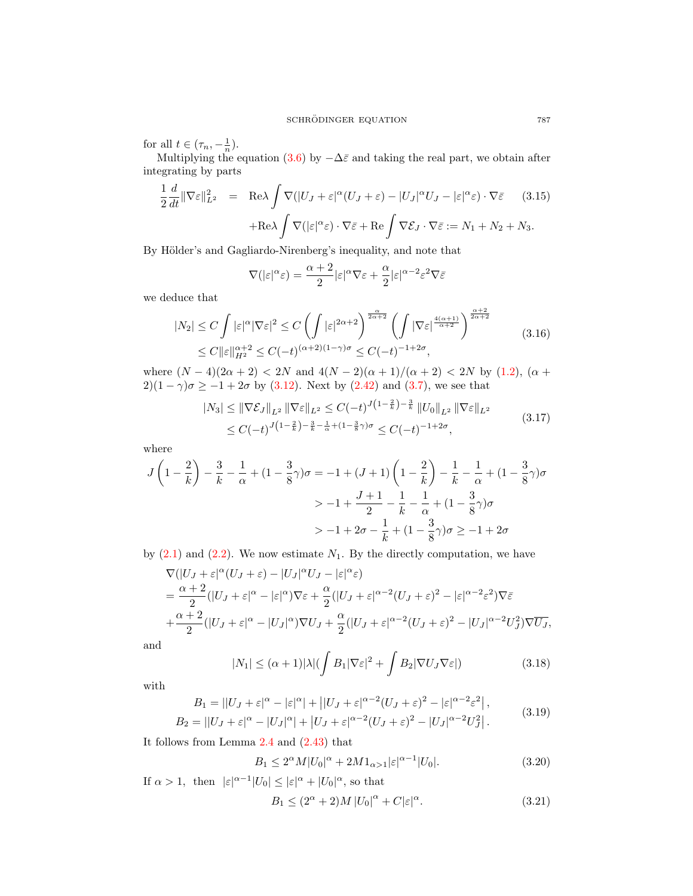for all  $t \in (\tau_n, -\frac{1}{n})$ .

Multiplying the equation [\(3.6\)](#page-8-4) by  $-\Delta\bar{\varepsilon}$  and taking the real part, we obtain after integrating by parts

<span id="page-10-3"></span>
$$
\frac{1}{2} \frac{d}{dt} \|\nabla \varepsilon\|_{L^2}^2 = \text{Re}\lambda \int \nabla (|U_J + \varepsilon|^\alpha (U_J + \varepsilon) - |U_J|^\alpha U_J - |\varepsilon|^\alpha \varepsilon) \cdot \nabla \bar{\varepsilon} \qquad (3.15)
$$

$$
+ \text{Re}\lambda \int \nabla (|\varepsilon|^\alpha \varepsilon) \cdot \nabla \bar{\varepsilon} + \text{Re} \int \nabla \mathcal{E}_J \cdot \nabla \bar{\varepsilon} := N_1 + N_2 + N_3.
$$

By Hölder's and Gagliardo-Nirenberg's inequality, and note that

$$
\nabla(|\varepsilon|^\alpha \varepsilon) = \frac{\alpha + 2}{2} |\varepsilon|^\alpha \nabla \varepsilon + \frac{\alpha}{2} |\varepsilon|^{\alpha - 2} \varepsilon^2 \nabla \bar{\varepsilon}
$$

we deduce that

<span id="page-10-2"></span>
$$
|N_2| \le C \int |\varepsilon|^\alpha |\nabla \varepsilon|^2 \le C \left( \int |\varepsilon|^{2\alpha+2} \right)^{\frac{\alpha}{2\alpha+2}} \left( \int |\nabla \varepsilon|^{\frac{4(\alpha+1)}{\alpha+2}} \right)^{\frac{\alpha+2}{2\alpha+2}} \le C(|\varepsilon|_{H^2}^{\alpha+2} \le C(-t)^{(\alpha+2)(1-\gamma)\sigma} \le C(-t)^{-1+2\sigma}, \tag{3.16}
$$

where  $(N-4)(2\alpha+2)$  < 2N and  $4(N-2)(\alpha+1)/(\alpha+2)$  < 2N by [\(1.2\)](#page-0-0), ( $\alpha$  + 2)(1 –  $\gamma$ ) $\sigma \ge -1 + 2\sigma$  by [\(3.12\)](#page-9-4). Next by [\(2.42\)](#page-6-6) and [\(3.7\)](#page-9-0), we see that

<span id="page-10-4"></span>
$$
|N_3| \leq \|\nabla \mathcal{E}_J\|_{L^2} \|\nabla \varepsilon\|_{L^2} \leq C(-t)^{J\left(1-\frac{2}{k}\right)-\frac{3}{k}} \|U_0\|_{L^2} \|\nabla \varepsilon\|_{L^2}
$$
  
 
$$
\leq C(-t)^{J\left(1-\frac{2}{k}\right)-\frac{3}{k}-\frac{1}{\alpha}+(1-\frac{3}{8}\gamma)\sigma} \leq C(-t)^{-1+2\sigma},
$$
 (3.17)

where

$$
J\left(1-\frac{2}{k}\right) - \frac{3}{k} - \frac{1}{\alpha} + (1-\frac{3}{8}\gamma)\sigma = -1 + (J+1)\left(1-\frac{2}{k}\right) - \frac{1}{k} - \frac{1}{\alpha} + (1-\frac{3}{8}\gamma)\sigma
$$
  
>  $-1 + \frac{J+1}{2} - \frac{1}{k} - \frac{1}{\alpha} + (1-\frac{3}{8}\gamma)\sigma$   
>  $-1 + 2\sigma - \frac{1}{k} + (1-\frac{3}{8}\gamma)\sigma \ge -1 + 2\sigma$ 

by  $(2.1)$  and  $(2.2)$ . We now estimate  $N_1$ . By the directly computation, we have

$$
\nabla (|U_J + \varepsilon|^\alpha (U_J + \varepsilon) - |U_J|^\alpha U_J - |\varepsilon|^\alpha \varepsilon)
$$
\n
$$
= \frac{\alpha + 2}{2} (|U_J + \varepsilon|^\alpha - |\varepsilon|^\alpha) \nabla \varepsilon + \frac{\alpha}{2} (|U_J + \varepsilon|^{\alpha - 2} (U_J + \varepsilon)^2 - |\varepsilon|^{\alpha - 2} \varepsilon^2) \nabla \varepsilon
$$
\n
$$
+ \frac{\alpha + 2}{2} (|U_J + \varepsilon|^\alpha - |U_J|^\alpha) \nabla U_J + \frac{\alpha}{2} (|U_J + \varepsilon|^{\alpha - 2} (U_J + \varepsilon)^2 - |U_J|^{\alpha - 2} U_J^2) \nabla \overline{U_J},
$$

and

$$
|N_1| \le (\alpha + 1)|\lambda| \left(\int B_1 |\nabla \varepsilon|^2 + \int B_2 |\nabla U_J \nabla \varepsilon| \right) \tag{3.18}
$$

with

$$
B_1 = ||U_J + \varepsilon|^{\alpha} - |\varepsilon|^{\alpha}| + ||U_J + \varepsilon|^{\alpha - 2} (U_J + \varepsilon)^2 - |\varepsilon|^{\alpha - 2} \varepsilon^2|,
$$
  
\n
$$
B_2 = ||U_J + \varepsilon|^{\alpha} - |U_J|^{\alpha}| + |U_J + \varepsilon|^{\alpha - 2} (U_J + \varepsilon)^2 - |U_J|^{\alpha - 2} U_J^2|.
$$
\n(3.19)

It follows from Lemma [2.4](#page-7-0) and [\(2.43\)](#page-6-5) that

<span id="page-10-0"></span>
$$
B_1 \le 2^{\alpha} M |U_0|^{\alpha} + 2M \mathbb{1}_{\alpha > 1} |\varepsilon|^{\alpha - 1} |U_0|. \tag{3.20}
$$

If  $\alpha > 1$ , then  $|\varepsilon|^{\alpha-1} |U_0| \leq |\varepsilon|^{\alpha} + |U_0|^{\alpha}$ , so that

<span id="page-10-1"></span>
$$
B_1 \le (2^{\alpha} + 2)M |U_0|^{\alpha} + C|\varepsilon|^{\alpha}.
$$
 (3.21)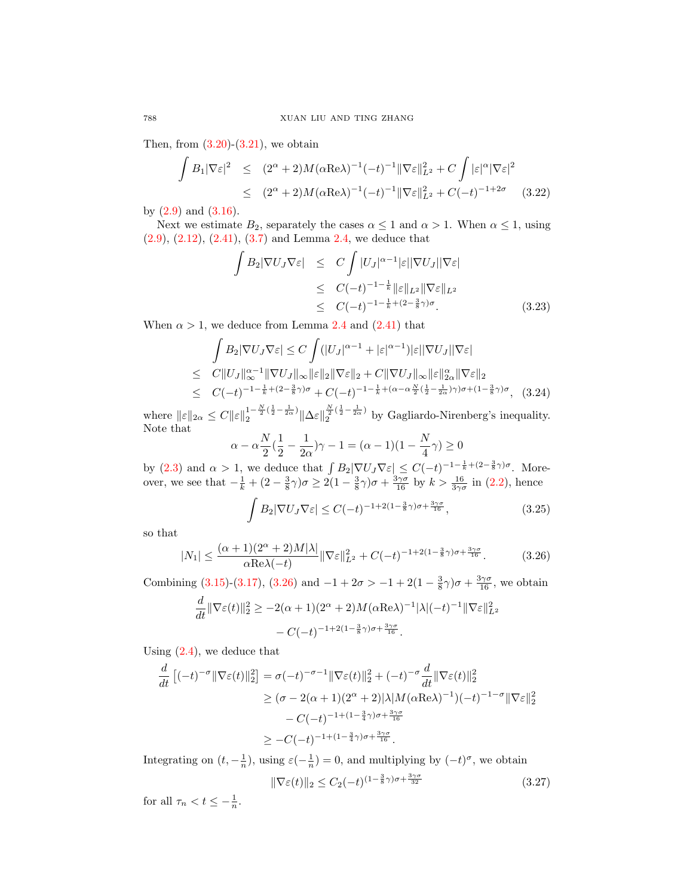Then, from  $(3.20)-(3.21)$  $(3.20)-(3.21)$  $(3.20)-(3.21)$ , we obtain

$$
\int B_1 |\nabla \varepsilon|^2 \le (2^{\alpha} + 2) M (\alpha \text{Re}\lambda)^{-1} (-t)^{-1} ||\nabla \varepsilon||_{L^2}^2 + C \int |\varepsilon|^{\alpha} |\nabla \varepsilon|^2
$$
  
\n
$$
\le (2^{\alpha} + 2) M (\alpha \text{Re}\lambda)^{-1} (-t)^{-1} ||\nabla \varepsilon||_{L^2}^2 + C(-t)^{-1+2\sigma} \quad (3.22)
$$

by  $(2.9)$  and  $(3.16)$ .

Next we estimate  $B_2$ , separately the cases  $\alpha \leq 1$  and  $\alpha > 1$ . When  $\alpha \leq 1$ , using [\(2.9\)](#page-3-7), [\(2.12\)](#page-3-3), [\(2.41\)](#page-6-7), [\(3.7\)](#page-9-0) and Lemma [2.4,](#page-7-0) we deduce that

$$
\int B_2 |\nabla U_J \nabla \varepsilon| \leq C \int |U_J|^{\alpha-1} |\varepsilon| |\nabla U_J| |\nabla \varepsilon|
$$
  
\n
$$
\leq C(-t)^{-1-\frac{1}{k}} \|\varepsilon\|_{L^2} \|\nabla \varepsilon\|_{L^2}
$$
  
\n
$$
\leq C(-t)^{-1-\frac{1}{k}+(2-\frac{3}{8}\gamma)\sigma}.
$$
 (3.23)

When  $\alpha > 1$ , we deduce from Lemma [2.4](#page-7-0) and [\(2.41\)](#page-6-7) that

$$
\int B_2 |\nabla U_J \nabla \varepsilon| \le C \int (|U_J|^{\alpha-1} + |\varepsilon|^{\alpha-1}) |\varepsilon| |\nabla U_J| |\nabla \varepsilon|
$$
\n
$$
\le C \|U_J\|_{\infty}^{\alpha-1} \|\nabla U_J\|_{\infty} \|\varepsilon\|_2 \|\nabla \varepsilon\|_2 + C \|\nabla U_J\|_{\infty} \|\varepsilon\|_{2\alpha}^{\alpha} \|\nabla \varepsilon\|_2
$$
\n
$$
\le C(-t)^{-1-\frac{1}{k}+(2-\frac{3}{8}\gamma)\sigma} + C(-t)^{-1-\frac{1}{k}+(\alpha-\alpha\frac{N}{2}(\frac{1}{2}-\frac{1}{2\alpha})\gamma)\sigma + (1-\frac{3}{8}\gamma)\sigma}, \quad (3.24)
$$

where  $\|\varepsilon\|_{2\alpha} \leq C \|\varepsilon\|_2^{1-\frac{N}{2}(\frac{1}{2}-\frac{1}{2\alpha})}$  $\frac{1-\frac{N}{2}(\frac{1}{2}-\frac{1}{2\alpha})}{2} \|\Delta \varepsilon\|_2^{\frac{N}{2}(\frac{1}{2}-\frac{1}{2\alpha})}$  by Gagliardo-Nirenberg's inequality. Note that

$$
\alpha - \alpha \frac{N}{2}(\frac{1}{2} - \frac{1}{2\alpha})\gamma - 1 = (\alpha - 1)(1 - \frac{N}{4}\gamma) \ge 0
$$

by [\(2.3\)](#page-2-5) and  $\alpha > 1$ , we deduce that  $\int B_2 |\nabla U_J \nabla \varepsilon| \leq C(-t)^{-1-\frac{1}{k}+(2-\frac{3}{8}\gamma)\sigma}$ . Moreover, we see that  $-\frac{1}{k} + (2 - \frac{3}{8}\gamma)\sigma \ge 2(1 - \frac{3}{8}\gamma)\sigma + \frac{3\gamma\sigma}{16}$  by  $k > \frac{16}{3\gamma\sigma}$  in [\(2.2\)](#page-2-1), hence

$$
\int B_2 |\nabla U_J \nabla \varepsilon| \le C(-t)^{-1+2(1-\frac{3}{8}\gamma)\sigma + \frac{3\gamma\sigma}{16}},\tag{3.25}
$$

so that

<span id="page-11-0"></span>
$$
|N_1| \le \frac{(\alpha+1)(2^{\alpha}+2)M|\lambda|}{\alpha \text{Re}\lambda(-t)} \|\nabla \varepsilon\|_{L^2}^2 + C(-t)^{-1+2(1-\frac{3}{8}\gamma)\sigma + \frac{3\gamma\sigma}{16}}.\tag{3.26}
$$

Combining [\(3.15\)](#page-10-3)-[\(3.17\)](#page-10-4), [\(3.26\)](#page-11-0) and  $-1 + 2\sigma > -1 + 2(1 - \frac{3}{8}\gamma)\sigma + \frac{3\gamma\sigma}{16}$ , we obtain

$$
\frac{d}{dt} \|\nabla \varepsilon(t)\|_2^2 \ge -2(\alpha+1)(2^{\alpha}+2)M(\alpha \text{Re}\lambda)^{-1}|\lambda|(-t)^{-1} \|\nabla \varepsilon\|_{L^2}^2
$$

$$
-C(-t)^{-1+2(1-\frac{3}{8}\gamma)\sigma+\frac{3\gamma\sigma}{16}}.
$$

Using  $(2.4)$ , we deduce that

$$
\frac{d}{dt} [(-t)^{-\sigma} || \nabla \varepsilon(t) ||_2^2] = \sigma(-t)^{-\sigma-1} || \nabla \varepsilon(t) ||_2^2 + (-t)^{-\sigma} \frac{d}{dt} || \nabla \varepsilon(t) ||_2^2
$$
\n
$$
\geq (\sigma - 2(\alpha + 1)(2^{\alpha} + 2) |\lambda| M (\alpha \text{Re}\lambda)^{-1}) (-t)^{-1-\sigma} || \nabla \varepsilon ||_2^2
$$
\n
$$
- C(-t)^{-1 + (1 - \frac{3}{4}\gamma)\sigma + \frac{3\gamma\sigma}{16}}
$$
\n
$$
\geq -C(-t)^{-1 + (1 - \frac{3}{4}\gamma)\sigma + \frac{3\gamma\sigma}{16}}.
$$

Integrating on  $(t, -\frac{1}{n})$ , using  $\varepsilon(-\frac{1}{n}) = 0$ , and multiplying by  $(-t)^{\sigma}$ , we obtain

<span id="page-11-1"></span>
$$
\|\nabla \varepsilon(t)\|_2 \le C_2(-t)^{(1-\frac{3}{8}\gamma)\sigma + \frac{3\gamma\sigma}{32}}\tag{3.27}
$$

for all  $\tau_n < t \leq -\frac{1}{n}$ .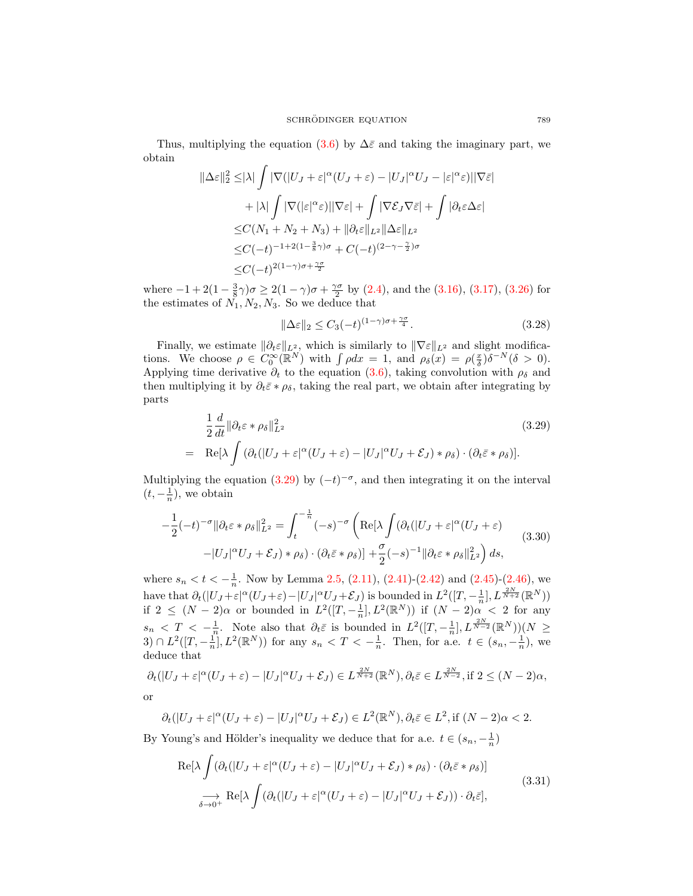Thus, multiplying the equation [\(3.6\)](#page-8-4) by  $\Delta \bar{\varepsilon}$  and taking the imaginary part, we obtain

$$
\|\Delta\varepsilon\|_{2}^{2} \leq |\lambda| \int |\nabla(|U_{J} + \varepsilon|^{\alpha} (U_{J} + \varepsilon) - |U_{J}|^{\alpha} U_{J} - |\varepsilon|^{\alpha} \varepsilon)||\nabla\varepsilon|
$$
  
+ 
$$
|\lambda| \int |\nabla(|\varepsilon|^{\alpha} \varepsilon)||\nabla\varepsilon| + \int |\nabla \mathcal{E}_{J} \nabla \bar{\varepsilon}| + \int |\partial_{t}\varepsilon \Delta\varepsilon|
$$
  

$$
\leq C(N_{1} + N_{2} + N_{3}) + \|\partial_{t}\varepsilon\|_{L^{2}} \|\Delta\varepsilon\|_{L^{2}}
$$
  

$$
\leq C(-t)^{-1+2(1-\frac{3}{8}\gamma)\sigma} + C(-t)^{(2-\gamma-\frac{\gamma}{2})\sigma}
$$
  

$$
\leq C(-t)^{2(1-\gamma)\sigma+\frac{\gamma\sigma}{2}}
$$

where  $-1+2(1-\frac{3}{8}\gamma)\sigma \ge 2(1-\gamma)\sigma + \frac{\gamma\sigma}{2}$  by [\(2.4\)](#page-2-6), and the [\(3.16\)](#page-10-2), [\(3.17\)](#page-10-4), [\(3.26\)](#page-11-0) for the estimates of  $N_1, N_2, N_3$ . So we deduce that

<span id="page-12-3"></span>
$$
\|\Delta \varepsilon\|_2 \le C_3(-t)^{(1-\gamma)\sigma + \frac{\gamma\sigma}{4}}.\tag{3.28}
$$

Finally, we estimate  $\|\partial_t \varepsilon\|_{L^2}$ , which is similarly to  $\|\nabla \varepsilon\|_{L^2}$  and slight modifications. We choose  $\rho \in C_0^{\infty}(\mathbb{R}^N)$  with  $\int \rho dx = 1$ , and  $\rho_{\delta}(x) = \rho(\frac{x}{\delta})\delta^{-N}(\delta > 0)$ . Applying time derivative  $\partial_t$  to the equation [\(3.6\)](#page-8-4), taking convolution with  $\rho_\delta$  and then multiplying it by  $\partial_t \bar{\varepsilon} * \rho_{\delta}$ , taking the real part, we obtain after integrating by parts

<span id="page-12-0"></span>
$$
\frac{1}{2}\frac{d}{dt}\|\partial_t \varepsilon * \rho_\delta\|_{L^2}^2
$$
\n
$$
= \text{Re}[\lambda \int (\partial_t (|U_J + \varepsilon|^\alpha (U_J + \varepsilon) - |U_J|^\alpha U_J + \mathcal{E}_J) * \rho_\delta) \cdot (\partial_t \bar{\varepsilon} * \rho_\delta)].
$$
\n(3.29)

Multiplying the equation [\(3.29\)](#page-12-0) by  $(-t)^{-\sigma}$ , and then integrating it on the interval  $(t, -\frac{1}{n})$ , we obtain

<span id="page-12-2"></span>
$$
-\frac{1}{2}(-t)^{-\sigma} \|\partial_t \varepsilon * \rho_\delta\|_{L^2}^2 = \int_t^{-\frac{1}{n}} (-s)^{-\sigma} \left( \text{Re}[\lambda \int (\partial_t (|U_J + \varepsilon|^\alpha (U_J + \varepsilon)) - |U_J|^\alpha U_J + \mathcal{E}_J) * \rho_\delta) \cdot (\partial_t \bar{\varepsilon} * \rho_\delta) \right] + \frac{\sigma}{2} (-s)^{-1} \|\partial_t \varepsilon * \rho_\delta\|_{L^2}^2 \right) ds,
$$
(3.30)

where  $s_n < t < -\frac{1}{n}$ . Now by Lemma [2.5,](#page-7-6) [\(2.11\)](#page-3-0), [\(2.41\)](#page-6-7)-[\(2.42\)](#page-6-6) and [\(2.45\)](#page-6-8)-[\(2.46\)](#page-6-9), we have that  $\partial_t(|U_J + \varepsilon|^\alpha (U_J + \varepsilon) - |U_J|^\alpha U_J + \mathcal{E}_J)$  is bounded in  $L^2([T, -\frac{1}{n}], L^{\frac{2N}{N+2}}(\mathbb{R}^N))$ if  $2 \leq (N-2)\alpha$  or bounded in  $L^2([T, -\frac{1}{n}], L^2(\mathbb{R}^N))$  if  $(N-2)\alpha < 2$  for any  $s_n < T < -\frac{1}{n}$ . Note also that  $\partial_t \bar{\varepsilon}$  is bounded in  $L^2([T, -\frac{1}{n}], L^{\frac{2N}{N-2}}(\mathbb{R}^N))(N \geq$ 3) ∩  $L^2([T, -\frac{1}{n}], L^2(\mathbb{R}^N))$  for any  $s_n < T < -\frac{1}{n}$ . Then, for a.e.  $t \in (s_n, -\frac{1}{n})$ , we deduce that

$$
\partial_t(|U_J + \varepsilon|^\alpha (U_J + \varepsilon) - |U_J|^\alpha U_J + \mathcal{E}_J) \in L^{\frac{2N}{N+2}}(\mathbb{R}^N), \partial_t \bar{\varepsilon} \in L^{\frac{2N}{N-2}}, \text{if } 2 \le (N-2)\alpha,
$$
  
or

$$
\partial_t(|U_J+\varepsilon|^\alpha (U_J+\varepsilon)-|U_J|^\alpha U_J+\mathcal{E}_J)\in L^2(\mathbb{R}^N),\partial_t\bar{\varepsilon}\in L^2, \text{if } (N-2)\alpha<2.
$$

By Young's and Hölder's inequality we deduce that for a.e.  $t \in (s_n, -\frac{1}{n})$ 

<span id="page-12-1"></span>
$$
\operatorname{Re}[\lambda \int (\partial_t (|U_J + \varepsilon|^\alpha (U_J + \varepsilon) - |U_J|^\alpha U_J + \mathcal{E}_J) * \rho_\delta) \cdot (\partial_t \bar{\varepsilon} * \rho_\delta)]
$$
  
\n
$$
\longrightarrow \operatorname{Re}[\lambda \int (\partial_t (|U_J + \varepsilon|^\alpha (U_J + \varepsilon) - |U_J|^\alpha U_J + \mathcal{E}_J)) \cdot \partial_t \bar{\varepsilon}],
$$
\n(3.31)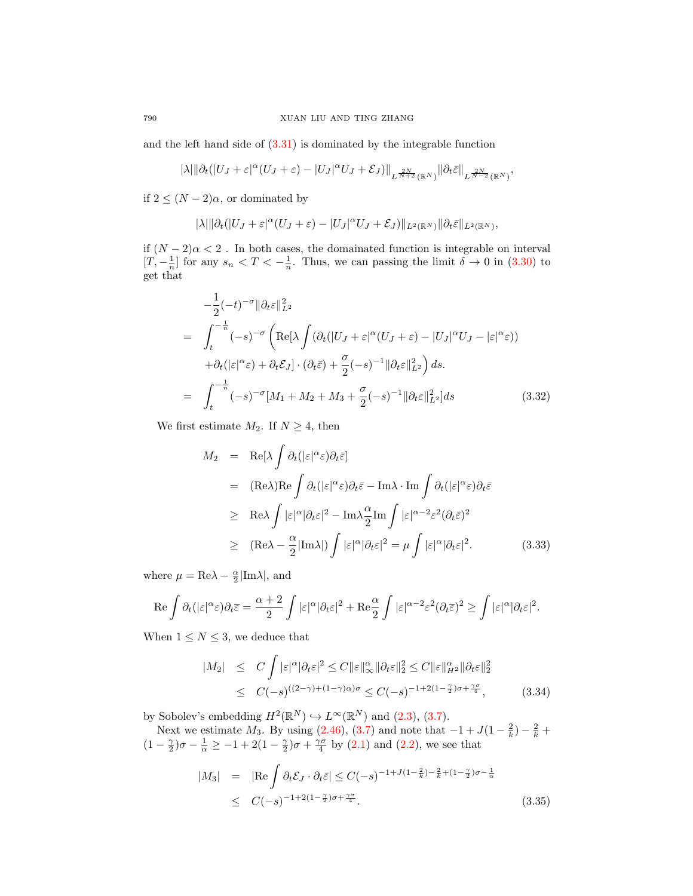and the left hand side of [\(3.31\)](#page-12-1) is dominated by the integrable function

$$
|\lambda|\|\partial_t(|U_J+\varepsilon|^\alpha(U_J+\varepsilon)-|U_J|^\alpha U_J+\mathcal{E}_J)\|_{L^{\frac{2N}{N+2}}(\mathbb{R}^N)}\|\partial_t\bar{\varepsilon}\|_{L^{\frac{2N}{N-2}}(\mathbb{R}^N)},
$$

if  $2 \leq (N-2)\alpha$ , or dominated by

$$
|\lambda|\|\partial_t(|U_J+\varepsilon|^\alpha(U_J+\varepsilon)-|U_J|^\alpha U_J+\mathcal{E}_J)\|_{L^2(\mathbb{R}^N)}\|\partial_t\bar{\varepsilon}\|_{L^2(\mathbb{R}^N)},
$$

if  $(N-2)\alpha < 2$ . In both cases, the domainated function is integrable on interval  $[T, -\frac{1}{n}]$  for any  $s_n < T < -\frac{1}{n}$ . Thus, we can passing the limit  $\delta \to 0$  in [\(3.30\)](#page-12-2) to get that

<span id="page-13-1"></span>
$$
-\frac{1}{2}(-t)^{-\sigma} \|\partial_t \varepsilon\|_{L^2}^2
$$
  
= 
$$
\int_t^{-\frac{1}{n}} (-s)^{-\sigma} \left( \text{Re}[\lambda \int (\partial_t (|U_J + \varepsilon|^\alpha (U_J + \varepsilon) - |U_J|^\alpha U_J - |\varepsilon|^\alpha \varepsilon))
$$
  
+ 
$$
\partial_t (|\varepsilon|^\alpha \varepsilon) + \partial_t \mathcal{E}_J] \cdot (\partial_t \bar{\varepsilon}) + \frac{\sigma}{2} (-s)^{-1} \|\partial_t \varepsilon\|_{L^2}^2 \right) ds.
$$
  
= 
$$
\int_t^{-\frac{1}{n}} (-s)^{-\sigma} [M_1 + M_2 + M_3 + \frac{\sigma}{2} (-s)^{-1} \|\partial_t \varepsilon\|_{L^2}^2] ds
$$
(3.32)

We first estimate  $M_2$ . If  $N \geq 4$ , then

$$
M_2 = \text{Re}[\lambda \int \partial_t (|\varepsilon|^\alpha \varepsilon) \partial_t \bar{\varepsilon}]
$$
  
\n
$$
= (\text{Re}\lambda)\text{Re} \int \partial_t (|\varepsilon|^\alpha \varepsilon) \partial_t \bar{\varepsilon} - \text{Im}\lambda \cdot \text{Im} \int \partial_t (|\varepsilon|^\alpha \varepsilon) \partial_t \bar{\varepsilon}
$$
  
\n
$$
\geq \text{Re}\lambda \int |\varepsilon|^\alpha |\partial_t \varepsilon|^2 - \text{Im}\lambda \frac{\alpha}{2} \text{Im} \int |\varepsilon|^{\alpha-2} \varepsilon^2 (\partial_t \bar{\varepsilon})^2
$$
  
\n
$$
\geq (\text{Re}\lambda - \frac{\alpha}{2} |\text{Im}\lambda|) \int |\varepsilon|^\alpha |\partial_t \varepsilon|^2 = \mu \int |\varepsilon|^\alpha |\partial_t \varepsilon|^2. \tag{3.33}
$$

where  $\mu = \text{Re}\lambda - \frac{\alpha}{2}|\text{Im}\lambda|$ , and

$$
\operatorname{Re} \int \partial_t (|\varepsilon|^\alpha \varepsilon) \partial_t \overline{\varepsilon} = \frac{\alpha+2}{2} \int |\varepsilon|^\alpha |\partial_t \varepsilon|^2 + \operatorname{Re} \frac{\alpha}{2} \int |\varepsilon|^{\alpha-2} \varepsilon^2 (\partial_t \overline{\varepsilon})^2 \ge \int |\varepsilon|^\alpha |\partial_t \varepsilon|^2.
$$

When  $1 \leq N \leq 3$ , we deduce that

<span id="page-13-0"></span>
$$
|M_2| \leq C \int |\varepsilon|^\alpha |\partial_t \varepsilon|^2 \leq C \|\varepsilon\|_\infty^\alpha \|\partial_t \varepsilon\|_2^2 \leq C \|\varepsilon\|_{H^2}^\alpha \|\partial_t \varepsilon\|_2^2
$$
  

$$
\leq C(-s)^{((2-\gamma)+(1-\gamma)\alpha)\sigma} \leq C(-s)^{-1+2(1-\frac{\gamma}{2})\sigma+\frac{\gamma\sigma}{4}}, \qquad (3.34)
$$

by Sobolev's embedding  $H^2(\mathbb{R}^N) \hookrightarrow L^\infty(\mathbb{R}^N)$  and  $(2.3)$ ,  $(3.7)$ .

Next we estimate  $M_3$ . By using [\(2.46\)](#page-6-9), [\(3.7\)](#page-9-0) and note that  $-1 + J(1 - \frac{2}{k}) - \frac{2}{k} +$  $(1 - \frac{\gamma}{2})\sigma - \frac{1}{\alpha} \ge -1 + 2(1 - \frac{\gamma}{2})\sigma + \frac{\gamma \sigma}{4}$  by [\(2.1\)](#page-2-7) and [\(2.2\)](#page-2-1), we see that

$$
|M_3| = |\text{Re} \int \partial_t \mathcal{E}_J \cdot \partial_t \bar{\varepsilon}| \le C(-s)^{-1+J(1-\frac{2}{k})-\frac{2}{k}+(1-\frac{\gamma}{2})\sigma-\frac{1}{\alpha}}
$$
  
 
$$
\le C(-s)^{-1+2(1-\frac{\gamma}{2})\sigma+\frac{\gamma\sigma}{4}}.
$$
 (3.35)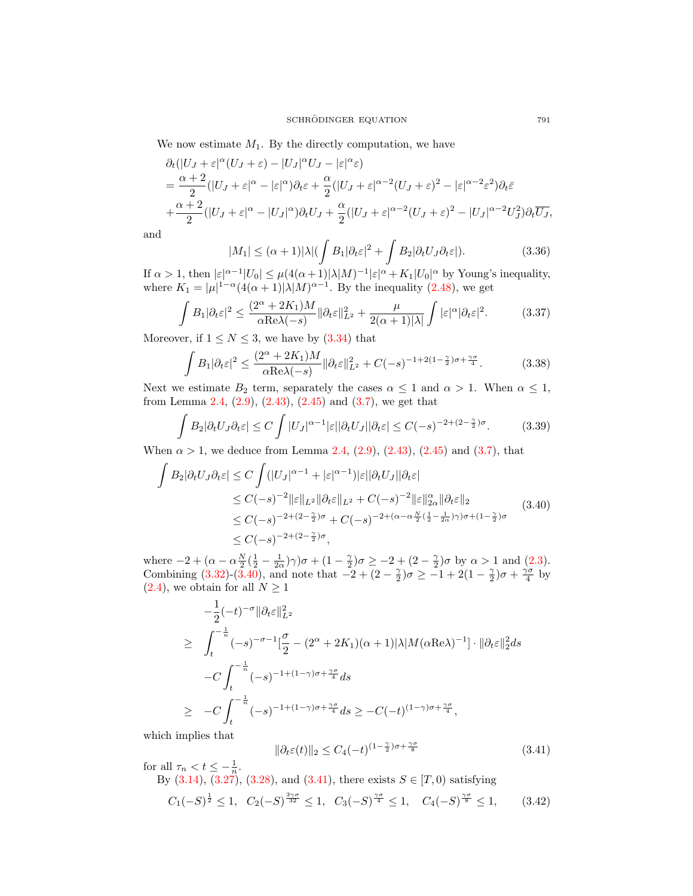We now estimate  $M_1$ . By the directly computation, we have

$$
\partial_t(|U_J + \varepsilon|^\alpha (U_J + \varepsilon) - |U_J|^\alpha U_J - |\varepsilon|^\alpha \varepsilon)
$$
\n
$$
= \frac{\alpha + 2}{2} (|U_J + \varepsilon|^\alpha - |\varepsilon|^\alpha) \partial_t \varepsilon + \frac{\alpha}{2} (|U_J + \varepsilon|^{\alpha - 2} (U_J + \varepsilon)^2 - |\varepsilon|^{\alpha - 2} \varepsilon^2) \partial_t \bar{\varepsilon}
$$
\n
$$
+ \frac{\alpha + 2}{2} (|U_J + \varepsilon|^\alpha - |U_J|^\alpha) \partial_t U_J + \frac{\alpha}{2} (|U_J + \varepsilon|^{\alpha - 2} (U_J + \varepsilon)^2 - |U_J|^{\alpha - 2} U_J^2) \partial_t \bar{U}_J,
$$

and

$$
|M_1| \le (\alpha + 1)|\lambda| \left(\int B_1|\partial_t \varepsilon|^2 + \int B_2|\partial_t U_J \partial_t \varepsilon|\right).
$$
 (3.36)

If  $\alpha > 1$ , then  $|\varepsilon|^{\alpha-1}|U_0| \leq \mu(4(\alpha+1)|\lambda|M)^{-1}|\varepsilon|^{\alpha} + K_1|U_0|^{\alpha}$  by Young's inequality, where  $K_1 = |\mu|^{1-\alpha} (4(\alpha+1)|\lambda|M)^{\alpha-1}$ . By the inequality [\(2.48\)](#page-7-1), we get

$$
\int B_1 |\partial_t \varepsilon|^2 \le \frac{(2^{\alpha} + 2K_1)M}{\alpha \text{Re}\lambda(-s)} \|\partial_t \varepsilon\|_{L^2}^2 + \frac{\mu}{2(\alpha+1)|\lambda|} \int |\varepsilon|^{\alpha} |\partial_t \varepsilon|^2. \tag{3.37}
$$

Moreover, if  $1 \leq N \leq 3$ , we have by  $(3.34)$  that

$$
\int B_1 |\partial_t \varepsilon|^2 \le \frac{(2^{\alpha} + 2K_1)M}{\alpha \text{Re}\lambda(-s)} \|\partial_t \varepsilon\|_{L^2}^2 + C(-s)^{-1+2(1-\frac{\gamma}{2})\sigma + \frac{\gamma\sigma}{4}}.
$$
 (3.38)

Next we estimate  $B_2$  term, separately the cases  $\alpha \leq 1$  and  $\alpha > 1$ . When  $\alpha \leq 1$ , from Lemma [2.4,](#page-7-0)  $(2.9)$ ,  $(2.43)$ ,  $(2.45)$  and  $(3.7)$ , we get that

$$
\int B_2 |\partial_t U_J \partial_t \varepsilon| \le C \int |U_J|^{\alpha - 1} |\varepsilon| |\partial_t U_J| |\partial_t \varepsilon| \le C(-s)^{-2 + (2 - \frac{\gamma}{2})\sigma}.
$$
 (3.39)

When  $\alpha > 1$ , we deduce from Lemma [2.4,](#page-7-0) [\(2.9\)](#page-3-7), [\(2.43\)](#page-6-5), [\(2.45\)](#page-6-8) and [\(3.7\)](#page-9-0), that

<span id="page-14-1"></span>
$$
\int B_2|\partial_t U_J \partial_t \varepsilon| \le C \int (|U_J|^{\alpha-1} + |\varepsilon|^{\alpha-1}) |\varepsilon| |\partial_t U_J| |\partial_t \varepsilon|
$$
  
\n
$$
\le C(-s)^{-2} \|\varepsilon\|_{L^2} \|\partial_t \varepsilon\|_{L^2} + C(-s)^{-2} \|\varepsilon\|_{2\alpha}^{\alpha} \|\partial_t \varepsilon\|_2
$$
  
\n
$$
\le C(-s)^{-2+(2-\frac{\gamma}{2})\sigma} + C(-s)^{-2+(\alpha-\alpha\frac{N}{2}(\frac{1}{2}-\frac{1}{2\alpha})\gamma)\sigma + (1-\frac{\gamma}{2})\sigma}
$$
  
\n
$$
\le C(-s)^{-2+(2-\frac{\gamma}{2})\sigma},
$$
\n(3.40)

where  $-2 + (\alpha - \alpha \frac{N}{2}(\frac{1}{2} - \frac{1}{2\alpha})\gamma)\sigma + (1 - \frac{\gamma}{2})\sigma \ge -2 + (2 - \frac{\gamma}{2})\sigma$  by  $\alpha > 1$  and [\(2.3\)](#page-2-5). Combining [\(3.32\)](#page-13-1)-[\(3.40\)](#page-14-1), and note that  $-2 + (2 - \frac{\gamma}{2})\sigma \ge -1 + 2(1 - \frac{\gamma}{2})\sigma + \frac{\gamma\sigma}{4}$  by  $(2.4)$ , we obtain for all  $N \geq 1$ 

$$
-\frac{1}{2}(-t)^{-\sigma} \|\partial_t \varepsilon\|_{L^2}^2
$$
  
\n
$$
\geq \int_t^{-\frac{1}{n}} (-s)^{-\sigma-1} \left[\frac{\sigma}{2} - (2^{\alpha} + 2K_1)(\alpha + 1)|\lambda|M(\alpha \text{Re}\lambda)^{-1}\right] \cdot \|\partial_t \varepsilon\|_2^2 ds
$$
  
\n
$$
-C \int_t^{-\frac{1}{n}} (-s)^{-1+(1-\gamma)\sigma + \frac{\gamma\sigma}{4}} ds
$$
  
\n
$$
\geq -C \int_t^{-\frac{1}{n}} (-s)^{-1+(1-\gamma)\sigma + \frac{\gamma\sigma}{4}} ds \geq -C(-t)^{(1-\gamma)\sigma + \frac{\gamma\sigma}{4}},
$$

which implies that

<span id="page-14-0"></span>
$$
\|\partial_t \varepsilon(t)\|_2 \le C_4(-t)^{(1-\frac{\gamma}{2})\sigma + \frac{\gamma \sigma}{8}}\tag{3.41}
$$

for all  $\tau_n < t \leq -\frac{1}{n}$ .

By  $(3.14)$ ,  $(3.27)$ ,  $(3.28)$ , and  $(3.41)$ , there exists  $S \in [T, 0)$  satisfying

$$
C_1(-S)^{\frac{1}{2}} \le 1, \quad C_2(-S)^{\frac{3\gamma\sigma}{32}} \le 1, \quad C_3(-S)^{\frac{\gamma\sigma}{4}} \le 1, \quad C_4(-S)^{\frac{\gamma\sigma}{8}} \le 1,\tag{3.42}
$$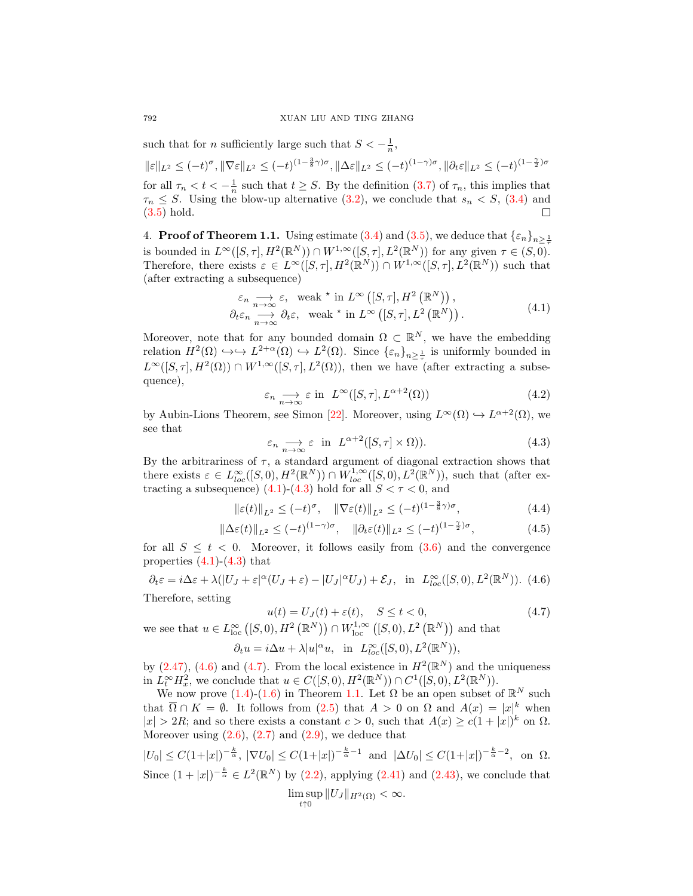such that for *n* sufficiently large such that  $S < -\frac{1}{n}$ ,

 $\|\varepsilon\|_{L^2}\leq (-t)^\sigma, \|\nabla\varepsilon\|_{L^2}\leq (-t)^{(1-\frac{3}{8}\gamma)\sigma}, \|\Delta\varepsilon\|_{L^2}\leq (-t)^{(1-\gamma)\sigma}, \|\partial_t\varepsilon\|_{L^2}\leq (-t)^{(1-\frac{\gamma}{2})\sigma}$ for all  $\tau_n < t < -\frac{1}{n}$  such that  $t \geq S$ . By the definition [\(3.7\)](#page-9-0) of  $\tau_n$ , this implies that  $\tau_n \leq S$ . Using the blow-up alternative [\(3.2\)](#page-8-3), we conclude that  $s_n \lt S$ , [\(3.4\)](#page-8-5) and [\(3.5\)](#page-8-6) hold.  $\Box$ 

<span id="page-15-0"></span>4. **Proof of Theorem 1.1.** Using estimate [\(3.4\)](#page-8-5) and [\(3.5\)](#page-8-6), we deduce that  $\{\varepsilon_n\}_{n>\frac{1}{2}}$ is bounded in  $L^{\infty}([S,\tau], H^2(\mathbb{R}^N)) \cap W^{1,\infty}([S,\tau], L^2(\mathbb{R}^N))$  for any given  $\tau \in (S,0)$ . Therefore, there exists  $\varepsilon \in L^{\infty}([S,\tau], H^2(\mathbb{R}^N)) \cap W^{1,\infty}([S,\tau], L^2(\mathbb{R}^N))$  such that (after extracting a subsequence)

<span id="page-15-1"></span>
$$
\varepsilon_n \underset{n \to \infty}{\longrightarrow} \varepsilon, \quad \text{weak} \star \text{ in } L^{\infty}([S, \tau], H^2(\mathbb{R}^N)),
$$
\n
$$
\partial_t \varepsilon_n \underset{n \to \infty}{\longrightarrow} \partial_t \varepsilon, \quad \text{weak} \star \text{ in } L^{\infty}([S, \tau], L^2(\mathbb{R}^N)).
$$
\n(4.1)

Moreover, note that for any bounded domain  $\Omega \subset \mathbb{R}^N$ , we have the embedding relation  $H^2(\Omega) \hookrightarrow \longrightarrow L^{2+\alpha}(\Omega) \hookrightarrow L^2(\Omega)$ . Since  $\{\varepsilon_n\}_{n \geq \frac{1}{\tau}}$  is uniformly bounded in  $L^{\infty}([S,\tau], H^2(\Omega)) \cap W^{1,\infty}([S,\tau], L^2(\Omega)),$  then we have (after extracting a subsequence),

$$
\varepsilon_n \underset{n \to \infty}{\longrightarrow} \varepsilon \text{ in } L^{\infty}([S, \tau], L^{\alpha+2}(\Omega))
$$
\n(4.2)

by Aubin-Lions Theorem, see Simon [\[22\]](#page-17-20). Moreover, using  $L^{\infty}(\Omega) \hookrightarrow L^{\alpha+2}(\Omega)$ , we see that

<span id="page-15-6"></span><span id="page-15-5"></span><span id="page-15-2"></span>
$$
\varepsilon_n \underset{n \to \infty}{\longrightarrow} \varepsilon \quad \text{in} \quad L^{\alpha+2}([S, \tau] \times \Omega)). \tag{4.3}
$$

By the arbitrariness of  $\tau$ , a standard argument of diagonal extraction shows that there exists  $\varepsilon \in L^{\infty}_{loc}([S,0), H^{2}(\mathbb{R}^{N})) \cap W^{1,\infty}_{loc}([S,0), L^{2}(\mathbb{R}^{N}))$ , such that (after ex-tracting a subsequence) [\(4.1\)](#page-15-1)-[\(4.3\)](#page-15-2) hold for all  $S < \tau < 0$ , and

$$
\|\varepsilon(t)\|_{L^2} \le (-t)^{\sigma}, \quad \|\nabla \varepsilon(t)\|_{L^2} \le (-t)^{(1-\frac{3}{8}\gamma)\sigma},\tag{4.4}
$$

$$
\|\Delta\varepsilon(t)\|_{L^2} \le (-t)^{(1-\gamma)\sigma}, \quad \|\partial_t\varepsilon(t)\|_{L^2} \le (-t)^{(1-\frac{\gamma}{2})\sigma},\tag{4.5}
$$

for all  $S \leq t < 0$ . Moreover, it follows easily from  $(3.6)$  and the convergence properties  $(4.1)-(4.3)$  $(4.1)-(4.3)$  $(4.1)-(4.3)$  that

<span id="page-15-3"></span>
$$
\partial_t \varepsilon = i\Delta\varepsilon + \lambda(|U_J + \varepsilon|^\alpha (U_J + \varepsilon) - |U_J|^\alpha U_J) + \mathcal{E}_J, \text{ in } L^{\infty}_{loc}([S, 0), L^2(\mathbb{R}^N)). \tag{4.6}
$$
  
Therefore setting

Therefore, setting

<span id="page-15-4"></span>
$$
u(t) = U_J(t) + \varepsilon(t), \quad S \le t < 0,\tag{4.7}
$$

we see that  $u \in L^{\infty}_{loc}([S,0), H^2(\mathbb{R}^N)) \cap W^{1,\infty}_{loc}([S,0), L^2(\mathbb{R}^N))$  and that

$$
\partial_t u = i \Delta u + \lambda |u|^\alpha u, \text{ in } L^\infty_{loc}([S,0),L^2(\mathbb{R}^N)),
$$

by  $(2.47)$ ,  $(4.6)$  and  $(4.7)$ . From the local existence in  $H^2(\mathbb{R}^N)$  and the uniqueness in  $\hat{L}_t^{\infty} H_x^2$ , we conclude that  $u \in C([S,0), H^2(\mathbb{R}^N)) \cap C^1([S,0), L^2(\mathbb{R}^N)).$ 

We now prove  $(1.4)-(1.6)$  $(1.4)-(1.6)$  $(1.4)-(1.6)$  in Theorem [1.1.](#page-1-2) Let  $\Omega$  be an open subset of  $\mathbb{R}^N$  such that  $\overline{\Omega} \cap K = \emptyset$ . It follows from  $(2.5)$  that  $A > 0$  on  $\Omega$  and  $A(x) = |x|^k$  when  $|x| > 2R$ ; and so there exists a constant  $c > 0$ , such that  $A(x) \ge c(1+|x|)^k$  on  $\Omega$ . Moreover using  $(2.6)$ ,  $(2.7)$  and  $(2.9)$ , we deduce that

$$
|U_0| \le C(1+|x|)^{-\frac{k}{\alpha}}, \ |\nabla U_0| \le C(1+|x|)^{-\frac{k}{\alpha}-1} \text{ and } |\Delta U_0| \le C(1+|x|)^{-\frac{k}{\alpha}-2}, \text{ on } \Omega.
$$
  
Since  $(1+|x|)^{-\frac{k}{\alpha}} \in L^2(\mathbb{R}^N)$  by (2.2), applying (2.41) and (2.43), we conclude that  

$$
\limsup_{t \uparrow 0} ||U_J||_{H^2(\Omega)} < \infty.
$$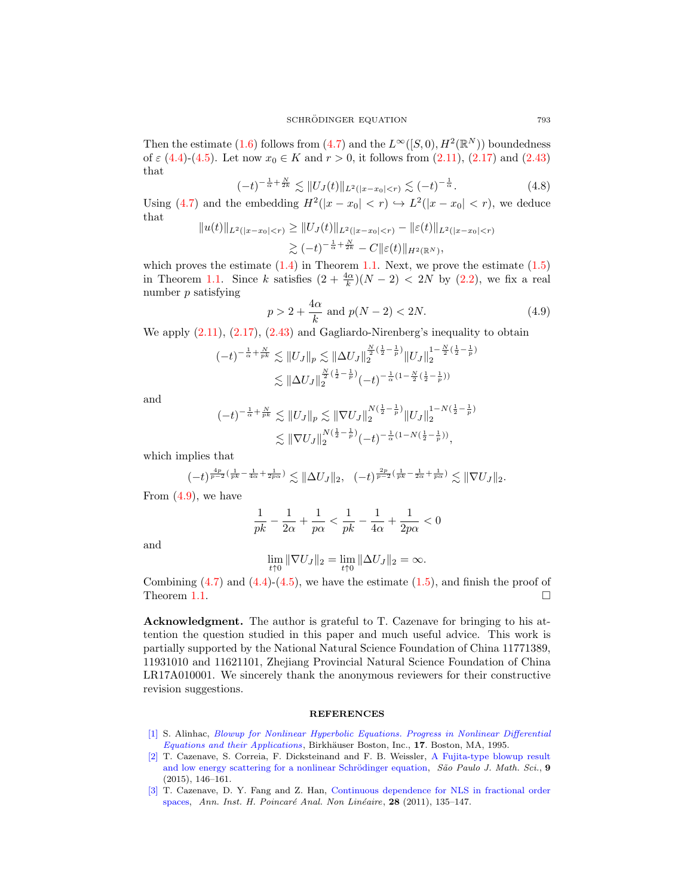Then the estimate [\(1.6\)](#page-1-3) follows from [\(4.7\)](#page-15-4) and the  $L^{\infty}([S,0), H^2(\mathbb{R}^N))$  boundedness of  $\varepsilon$  [\(4.4\)](#page-15-5)-[\(4.5\)](#page-15-6). Let now  $x_0 \in K$  and  $r > 0$ , it follows from [\(2.11\)](#page-3-0), [\(2.17\)](#page-3-5) and [\(2.43\)](#page-6-5) that

<span id="page-16-1"></span>
$$
(-t)^{-\frac{1}{\alpha} + \frac{N}{2k}} \lesssim ||U_J(t)||_{L^2(|x - x_0| < r)} \lesssim (-t)^{-\frac{1}{\alpha}}.\tag{4.8}
$$

Using [\(4.7\)](#page-15-4) and the embedding  $H^2(|x-x_0| < r) \hookrightarrow L^2(|x-x_0| < r)$ , we deduce that

$$
||u(t)||_{L^2(|x-x_0|  

$$
\gtrsim (-t)^{-\frac{1}{\alpha} + \frac{N}{2k}} - C||\varepsilon(t)||_{H^2(\mathbb{R}^N)},
$$
$$

which proves the estimate  $(1.4)$  in Theorem [1.1.](#page-1-2) Next, we prove the estimate  $(1.5)$ in Theorem [1.1.](#page-1-2) Since k satisfies  $(2 + \frac{4\alpha}{k})(N - 2) < 2N$  by  $(2.2)$ , we fix a real number  $p$  satisfying

<span id="page-16-4"></span>
$$
p > 2 + \frac{4\alpha}{k} \text{ and } p(N - 2) < 2N. \tag{4.9}
$$

We apply  $(2.11)$ ,  $(2.17)$ ,  $(2.43)$  and Gagliardo-Nirenberg's inequality to obtain

$$
(-t)^{-\frac{1}{\alpha} + \frac{N}{pk}} \lesssim ||U_J||_p \lesssim ||\Delta U_J||_2^{\frac{N}{2}(\frac{1}{2} - \frac{1}{p})} ||U_J||_2^{1 - \frac{N}{2}(\frac{1}{2} - \frac{1}{p})}
$$
  

$$
\lesssim ||\Delta U_J||_2^{\frac{N}{2}(\frac{1}{2} - \frac{1}{p})} (-t)^{-\frac{1}{\alpha}(1 - \frac{N}{2}(\frac{1}{2} - \frac{1}{p}))}
$$

and

$$
(-t)^{-\frac{1}{\alpha} + \frac{N}{pk}} \lesssim ||U_J||_p \lesssim ||\nabla U_J||_2^{N(\frac{1}{2} - \frac{1}{p})} ||U_J||_2^{1 - N(\frac{1}{2} - \frac{1}{p})}
$$
  

$$
\lesssim ||\nabla U_J||_2^{N(\frac{1}{2} - \frac{1}{p})} (-t)^{-\frac{1}{\alpha}(1 - N(\frac{1}{2} - \frac{1}{p}))},
$$

which implies that

$$
(-t)^{\frac{4p}{p-2}(\frac{1}{pk}-\frac{1}{4\alpha}+\frac{1}{2p\alpha})}\lesssim \|\Delta U_J\|_2,\ \ (-t)^{\frac{2p}{p-2}(\frac{1}{pk}-\frac{1}{2\alpha}+\frac{1}{p\alpha})}\lesssim \|\nabla U_J\|_2.
$$

From  $(4.9)$ , we have

$$
\frac{1}{pk}-\frac{1}{2\alpha}+\frac{1}{p\alpha}<\frac{1}{pk}-\frac{1}{4\alpha}+\frac{1}{2p\alpha}<0
$$

and

$$
\lim_{t \uparrow 0} \|\nabla U_J\|_2 = \lim_{t \uparrow 0} \|\Delta U_J\|_2 = \infty.
$$

Combining  $(4.7)$  and  $(4.4)-(4.5)$  $(4.4)-(4.5)$  $(4.4)-(4.5)$ , we have the estimate  $(1.5)$ , and finish the proof of Theorem [1.1.](#page-1-2)  $\Box$ 

Acknowledgment. The author is grateful to T. Cazenave for bringing to his attention the question studied in this paper and much useful advice. This work is partially supported by the National Natural Science Foundation of China 11771389, 11931010 and 11621101, Zhejiang Provincial Natural Science Foundation of China LR17A010001. We sincerely thank the anonymous reviewers for their constructive revision suggestions.

## **REFERENCES**

- <span id="page-16-2"></span>[\[1\]](http://www.ams.org/mathscinet-getitem?mr=MR1339762&return=pdf) S. Alinhac, [Blowup for Nonlinear Hyperbolic Equations. Progress in Nonlinear Differential](http://dx.doi.org/10.1007/978-1-4612-2578-2) [Equations and their Applications](http://dx.doi.org/10.1007/978-1-4612-2578-2), Birkhäuser Boston, Inc., 17. Boston, MA, 1995.
- <span id="page-16-0"></span>[\[2\]](http://www.ams.org/mathscinet-getitem?mr=MR3457455&return=pdf) T. Cazenave, S. Correia, F. Dicksteinand and F. B. Weissler, [A Fujita-type blowup result](http://dx.doi.org/10.1007/s40863-015-0020-6) and low energy scattering for a nonlinear Schrödinger equation, São Paulo J. Math. Sci., 9 (2015), 146–161.
- <span id="page-16-3"></span>[\[3\]](http://www.ams.org/mathscinet-getitem?mr=MR2765515&return=pdf) T. Cazenave, D. Y. Fang and Z. Han, [Continuous dependence for NLS in fractional order](http://dx.doi.org/10.1016/j.anihpc.2010.11.005) [spaces,](http://dx.doi.org/10.1016/j.anihpc.2010.11.005) Ann. Inst. H. Poincaré Anal. Non Linéaire, 28 (2011), 135-147.